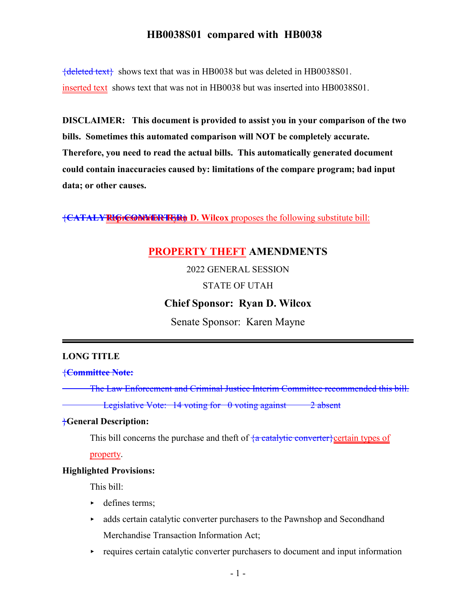${deleted text}$  shows text that was in HB0038 but was deleted in HB0038S01. inserted text shows text that was not in HB0038 but was inserted into HB0038S01.

**DISCLAIMER: This document is provided to assist you in your comparison of the two bills. Sometimes this automated comparison will NOT be completely accurate. Therefore, you need to read the actual bills. This automatically generated document could contain inaccuracies caused by: limitations of the compare program; bad input data; or other causes.**

**{CATALY REPRESENTMERT RYAN D. Wilcox** proposes the following substitute bill:

# **PROPERTY THEFT AMENDMENTS**

2022 GENERAL SESSION

#### STATE OF UTAH

## **Chief Sponsor: Ryan D. Wilcox**

Senate Sponsor: Karen Mayne

#### **LONG TITLE**

{**Committee Note:**

The Law Enforcement and Criminal Justice Interim Committee recommended this bill.

Legislative Vote:  $14$  voting for  $\theta$  voting against  $\theta$  absent

#### }**General Description:**

This bill concerns the purchase and theft of  $\frac{4a \cdot c \cdot \text{ceta}}{2b \cdot c \cdot \text{ctheta}}$  the types of

property.

#### **Highlighted Provisions:**

This bill:

- defines terms;
- $\rightarrow$  adds certain catalytic converter purchasers to the Pawnshop and Secondhand Merchandise Transaction Information Act;
- $\rightarrow$  requires certain catalytic converter purchasers to document and input information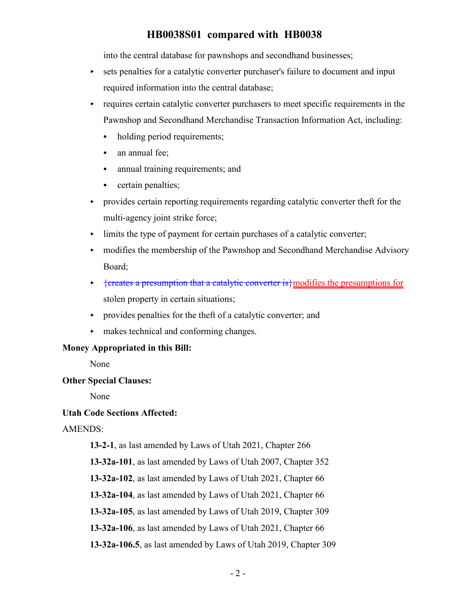into the central database for pawnshops and secondhand businesses;

- $\triangleright$  sets penalties for a catalytic converter purchaser's failure to document and input required information into the central database;
- requires certain catalytic converter purchasers to meet specific requirements in the Pawnshop and Secondhand Merchandise Transaction Information Act, including:
	- holding period requirements;
	- $\bullet$  an annual fee;
	- annual training requirements; and
	- certain penalties;
- < provides certain reporting requirements regarding catalytic converter theft for the multi-agency joint strike force;
- $\blacktriangleright$  limits the type of payment for certain purchases of a catalytic converter;
- < modifies the membership of the Pawnshop and Secondhand Merchandise Advisory Board;
- < {creates a presumption that a catalytic converter is}modifies the presumptions for stolen property in certain situations;
- $\rightarrow$  provides penalties for the theft of a catalytic converter; and
- < makes technical and conforming changes.

### **Money Appropriated in this Bill:**

None

### **Other Special Clauses:**

None

### **Utah Code Sections Affected:**

### AMENDS:

**13-2-1**, as last amended by Laws of Utah 2021, Chapter 266

**13-32a-101**, as last amended by Laws of Utah 2007, Chapter 352

**13-32a-102**, as last amended by Laws of Utah 2021, Chapter 66

**13-32a-104**, as last amended by Laws of Utah 2021, Chapter 66

**13-32a-105**, as last amended by Laws of Utah 2019, Chapter 309

**13-32a-106**, as last amended by Laws of Utah 2021, Chapter 66

**13-32a-106.5**, as last amended by Laws of Utah 2019, Chapter 309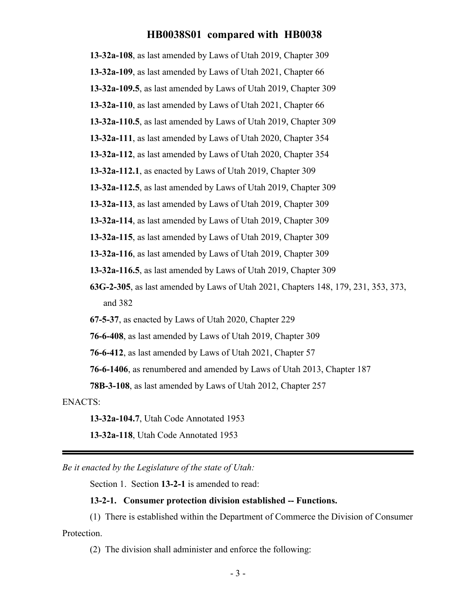**13-32a-108**, as last amended by Laws of Utah 2019, Chapter 309 **13-32a-109**, as last amended by Laws of Utah 2021, Chapter 66 **13-32a-109.5**, as last amended by Laws of Utah 2019, Chapter 309 **13-32a-110**, as last amended by Laws of Utah 2021, Chapter 66 **13-32a-110.5**, as last amended by Laws of Utah 2019, Chapter 309 **13-32a-111**, as last amended by Laws of Utah 2020, Chapter 354 **13-32a-112**, as last amended by Laws of Utah 2020, Chapter 354 **13-32a-112.1**, as enacted by Laws of Utah 2019, Chapter 309 **13-32a-112.5**, as last amended by Laws of Utah 2019, Chapter 309 **13-32a-113**, as last amended by Laws of Utah 2019, Chapter 309 **13-32a-114**, as last amended by Laws of Utah 2019, Chapter 309 **13-32a-115**, as last amended by Laws of Utah 2019, Chapter 309 **13-32a-116**, as last amended by Laws of Utah 2019, Chapter 309 **13-32a-116.5**, as last amended by Laws of Utah 2019, Chapter 309 **63G-2-305**, as last amended by Laws of Utah 2021, Chapters 148, 179, 231, 353, 373, and 382 **67-5-37**, as enacted by Laws of Utah 2020, Chapter 229 **76-6-408**, as last amended by Laws of Utah 2019, Chapter 309

**76-6-412**, as last amended by Laws of Utah 2021, Chapter 57

**76-6-1406**, as renumbered and amended by Laws of Utah 2013, Chapter 187

**78B-3-108**, as last amended by Laws of Utah 2012, Chapter 257

ENACTS:

**13-32a-104.7**, Utah Code Annotated 1953

**13-32a-118**, Utah Code Annotated 1953

*Be it enacted by the Legislature of the state of Utah:*

Section 1. Section **13-2-1** is amended to read:

### **13-2-1. Consumer protection division established -- Functions.**

(1) There is established within the Department of Commerce the Division of Consumer Protection.

(2) The division shall administer and enforce the following: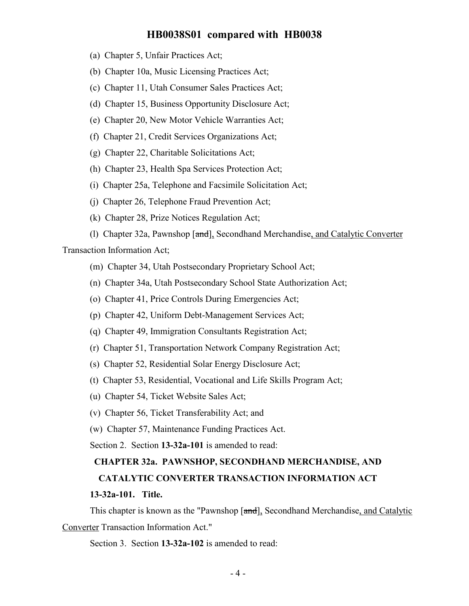- (a) Chapter 5, Unfair Practices Act;
- (b) Chapter 10a, Music Licensing Practices Act;
- (c) Chapter 11, Utah Consumer Sales Practices Act;
- (d) Chapter 15, Business Opportunity Disclosure Act;
- (e) Chapter 20, New Motor Vehicle Warranties Act;
- (f) Chapter 21, Credit Services Organizations Act;
- (g) Chapter 22, Charitable Solicitations Act;
- (h) Chapter 23, Health Spa Services Protection Act;
- (i) Chapter 25a, Telephone and Facsimile Solicitation Act;
- (j) Chapter 26, Telephone Fraud Prevention Act;
- (k) Chapter 28, Prize Notices Regulation Act;
- (l) Chapter 32a, Pawnshop [and], Secondhand Merchandise, and Catalytic Converter

Transaction Information Act;

- (m) Chapter 34, Utah Postsecondary Proprietary School Act;
- (n) Chapter 34a, Utah Postsecondary School State Authorization Act;
- (o) Chapter 41, Price Controls During Emergencies Act;
- (p) Chapter 42, Uniform Debt-Management Services Act;
- (q) Chapter 49, Immigration Consultants Registration Act;
- (r) Chapter 51, Transportation Network Company Registration Act;
- (s) Chapter 52, Residential Solar Energy Disclosure Act;
- (t) Chapter 53, Residential, Vocational and Life Skills Program Act;
- (u) Chapter 54, Ticket Website Sales Act;
- (v) Chapter 56, Ticket Transferability Act; and
- (w) Chapter 57, Maintenance Funding Practices Act.

Section 2. Section **13-32a-101** is amended to read:

#### **CHAPTER 32a. PAWNSHOP, SECONDHAND MERCHANDISE, AND**

#### **CATALYTIC CONVERTER TRANSACTION INFORMATION ACT**

#### **13-32a-101. Title.**

This chapter is known as the "Pawnshop [and], Secondhand Merchandise, and Catalytic Converter Transaction Information Act."

Section 3. Section **13-32a-102** is amended to read: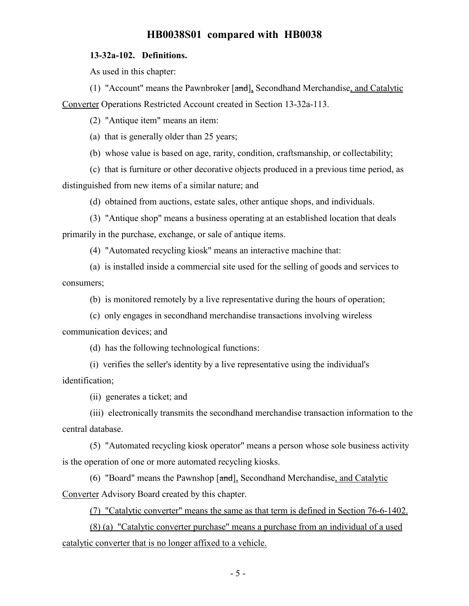### **13-32a-102. Definitions.**

As used in this chapter:

(1) "Account" means the Pawnbroker [and], Secondhand Merchandise, and Catalytic Converter Operations Restricted Account created in Section 13-32a-113.

(2) "Antique item" means an item:

(a) that is generally older than 25 years;

(b) whose value is based on age, rarity, condition, craftsmanship, or collectability;

(c) that is furniture or other decorative objects produced in a previous time period, as distinguished from new items of a similar nature; and

(d) obtained from auctions, estate sales, other antique shops, and individuals.

(3) "Antique shop" means a business operating at an established location that deals primarily in the purchase, exchange, or sale of antique items.

(4) "Automated recycling kiosk" means an interactive machine that:

(a) is installed inside a commercial site used for the selling of goods and services to consumers;

(b) is monitored remotely by a live representative during the hours of operation;

(c) only engages in secondhand merchandise transactions involving wireless communication devices; and

(d) has the following technological functions:

(i) verifies the seller's identity by a live representative using the individual's identification;

(ii) generates a ticket; and

(iii) electronically transmits the secondhand merchandise transaction information to the central database.

(5) "Automated recycling kiosk operator" means a person whose sole business activity is the operation of one or more automated recycling kiosks.

(6) "Board" means the Pawnshop [and], Secondhand Merchandise, and Catalytic Converter Advisory Board created by this chapter.

(7) "Catalytic converter" means the same as that term is defined in Section 76-6-1402.

(8) (a) "Catalytic converter purchase" means a purchase from an individual of a used catalytic converter that is no longer affixed to a vehicle.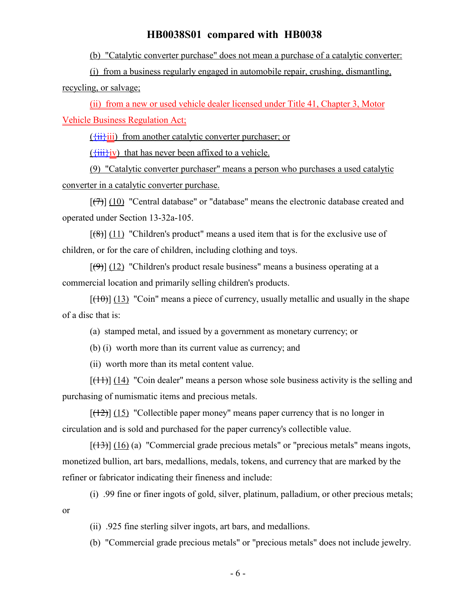(b) "Catalytic converter purchase" does not mean a purchase of a catalytic converter:

(i) from a business regularly engaged in automobile repair, crushing, dismantling, recycling, or salvage;

(ii) from a new or used vehicle dealer licensed under Title 41, Chapter 3, Motor Vehicle Business Regulation Act;

 $({\overleftrightarrow{\mathbf{ii}}})$  from another catalytic converter purchaser; or

 $(\overrightarrow{initiv})$  that has never been affixed to a vehicle.

(9) "Catalytic converter purchaser" means a person who purchases a used catalytic converter in a catalytic converter purchase.

 $[(7)]$  (10) "Central database" or "database" means the electronic database created and operated under Section 13-32a-105.

 $[(8)]$  (11) "Children's product" means a used item that is for the exclusive use of children, or for the care of children, including clothing and toys.

 $[(9)]$  (12) "Children's product resale business" means a business operating at a commercial location and primarily selling children's products.

 $[(10)(13)]$  "Coin" means a piece of currency, usually metallic and usually in the shape of a disc that is:

(a) stamped metal, and issued by a government as monetary currency; or

(b) (i) worth more than its current value as currency; and

(ii) worth more than its metal content value.

 $[(11)]$  (14) "Coin dealer" means a person whose sole business activity is the selling and purchasing of numismatic items and precious metals.

 $[(12)]$  (15) "Collectible paper money" means paper currency that is no longer in circulation and is sold and purchased for the paper currency's collectible value.

 $[(13)] (16)$  (a) "Commercial grade precious metals" or "precious metals" means ingots, monetized bullion, art bars, medallions, medals, tokens, and currency that are marked by the refiner or fabricator indicating their fineness and include:

(i) .99 fine or finer ingots of gold, silver, platinum, palladium, or other precious metals; or

(ii) .925 fine sterling silver ingots, art bars, and medallions.

(b) "Commercial grade precious metals" or "precious metals" does not include jewelry.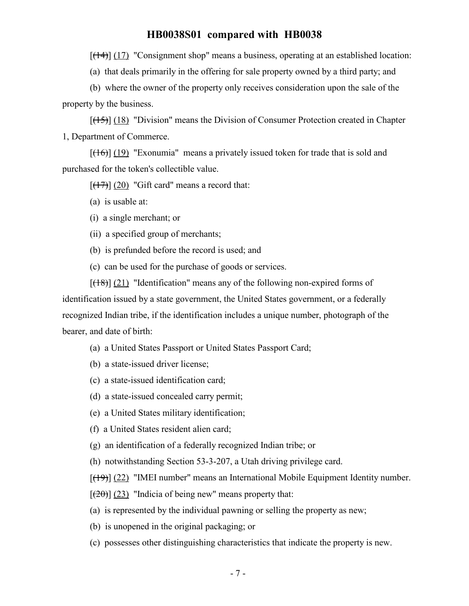$[ (14) ]$  (17) "Consignment shop" means a business, operating at an established location:

(a) that deals primarily in the offering for sale property owned by a third party; and

(b) where the owner of the property only receives consideration upon the sale of the property by the business.

 $[({+}5)$ ] (18) "Division" means the Division of Consumer Protection created in Chapter 1, Department of Commerce.

 $[(16)]$  (19) "Exonumia" means a privately issued token for trade that is sold and purchased for the token's collectible value.

 $[(17)]$  (20) "Gift card" means a record that:

(a) is usable at:

(i) a single merchant; or

(ii) a specified group of merchants;

(b) is prefunded before the record is used; and

(c) can be used for the purchase of goods or services.

 $[({18})]$  (21) "Identification" means any of the following non-expired forms of identification issued by a state government, the United States government, or a federally recognized Indian tribe, if the identification includes a unique number, photograph of the bearer, and date of birth:

(a) a United States Passport or United States Passport Card;

(b) a state-issued driver license;

(c) a state-issued identification card;

(d) a state-issued concealed carry permit;

(e) a United States military identification;

(f) a United States resident alien card;

(g) an identification of a federally recognized Indian tribe; or

(h) notwithstanding Section 53-3-207, a Utah driving privilege card.

 $[(19)]$  (22) "IMEI number" means an International Mobile Equipment Identity number.

 $[\frac{1}{20}]$  (23) "Indicia of being new" means property that:

(a) is represented by the individual pawning or selling the property as new;

(b) is unopened in the original packaging; or

(c) possesses other distinguishing characteristics that indicate the property is new.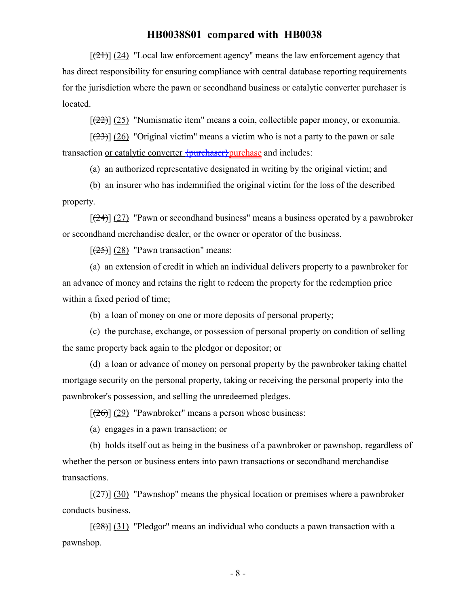$[(21)]$  (24) "Local law enforcement agency" means the law enforcement agency that has direct responsibility for ensuring compliance with central database reporting requirements for the jurisdiction where the pawn or secondhand business or catalytic converter purchaser is located.

 $[(22)]$   $(25)$  "Numismatic item" means a coin, collectible paper money, or exonumia.

 $[(23)]$  (26) "Original victim" means a victim who is not a party to the pawn or sale transaction or catalytic converter  $\{$ purchaser $\}$ purchase and includes:

(a) an authorized representative designated in writing by the original victim; and

(b) an insurer who has indemnified the original victim for the loss of the described property.

 $[24]$  (27) "Pawn or secondhand business" means a business operated by a pawnbroker or secondhand merchandise dealer, or the owner or operator of the business.

 $[\frac{(25)}{(28)}]$  "Pawn transaction" means:

(a) an extension of credit in which an individual delivers property to a pawnbroker for an advance of money and retains the right to redeem the property for the redemption price within a fixed period of time;

(b) a loan of money on one or more deposits of personal property;

(c) the purchase, exchange, or possession of personal property on condition of selling the same property back again to the pledgor or depositor; or

(d) a loan or advance of money on personal property by the pawnbroker taking chattel mortgage security on the personal property, taking or receiving the personal property into the pawnbroker's possession, and selling the unredeemed pledges.

 $[\frac{(26)}{(29)}]$  (29) "Pawnbroker" means a person whose business:

(a) engages in a pawn transaction; or

(b) holds itself out as being in the business of a pawnbroker or pawnshop, regardless of whether the person or business enters into pawn transactions or secondhand merchandise transactions.

 $[\frac{127}{30}]$  (30) "Pawnshop" means the physical location or premises where a pawnbroker conducts business.

 $[({28})]$  (31) "Pledgor" means an individual who conducts a pawn transaction with a pawnshop.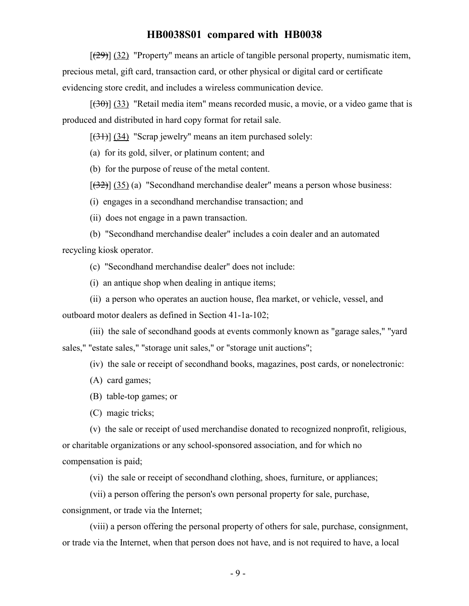$[29]$  (32) "Property" means an article of tangible personal property, numismatic item, precious metal, gift card, transaction card, or other physical or digital card or certificate evidencing store credit, and includes a wireless communication device.

 $[(30)(33)]$  "Retail media item" means recorded music, a movie, or a video game that is produced and distributed in hard copy format for retail sale.

 $[34]$  (34) "Scrap jewelry" means an item purchased solely:

(a) for its gold, silver, or platinum content; and

(b) for the purpose of reuse of the metal content.

 $[(32)]$   $(35)$  (a) "Secondhand merchandise dealer" means a person whose business:

(i) engages in a secondhand merchandise transaction; and

(ii) does not engage in a pawn transaction.

(b) "Secondhand merchandise dealer" includes a coin dealer and an automated recycling kiosk operator.

(c) "Secondhand merchandise dealer" does not include:

(i) an antique shop when dealing in antique items;

(ii) a person who operates an auction house, flea market, or vehicle, vessel, and

outboard motor dealers as defined in Section 41-1a-102;

(iii) the sale of secondhand goods at events commonly known as "garage sales," "yard sales," "estate sales," "storage unit sales," or "storage unit auctions";

(iv) the sale or receipt of secondhand books, magazines, post cards, or nonelectronic:

(A) card games;

(B) table-top games; or

(C) magic tricks;

(v) the sale or receipt of used merchandise donated to recognized nonprofit, religious, or charitable organizations or any school-sponsored association, and for which no compensation is paid;

(vi) the sale or receipt of secondhand clothing, shoes, furniture, or appliances;

(vii) a person offering the person's own personal property for sale, purchase,

consignment, or trade via the Internet;

(viii) a person offering the personal property of others for sale, purchase, consignment, or trade via the Internet, when that person does not have, and is not required to have, a local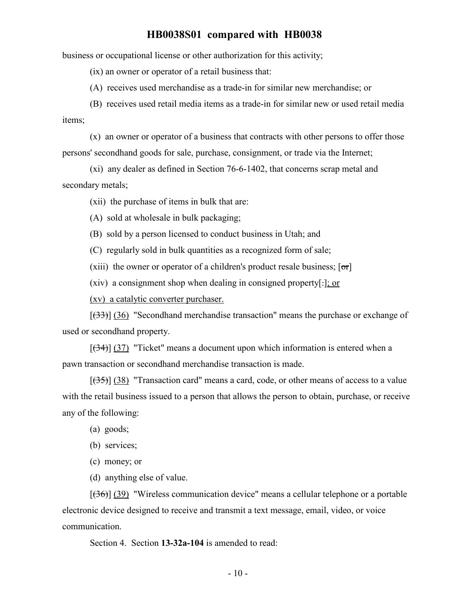business or occupational license or other authorization for this activity;

(ix) an owner or operator of a retail business that:

(A) receives used merchandise as a trade-in for similar new merchandise; or

(B) receives used retail media items as a trade-in for similar new or used retail media

items;

(x) an owner or operator of a business that contracts with other persons to offer those persons' secondhand goods for sale, purchase, consignment, or trade via the Internet;

(xi) any dealer as defined in Section 76-6-1402, that concerns scrap metal and secondary metals;

(xii) the purchase of items in bulk that are:

(A) sold at wholesale in bulk packaging;

(B) sold by a person licensed to conduct business in Utah; and

(C) regularly sold in bulk quantities as a recognized form of sale;

(xiii) the owner or operator of a children's product resale business;  $\lceil \sigma r \rceil$ 

(xiv) a consignment shop when dealing in consigned property[.]; or

(xv) a catalytic converter purchaser.

 $[(33)]$  (36) "Secondhand merchandise transaction" means the purchase or exchange of used or secondhand property.

 $[34]$  (37) "Ticket" means a document upon which information is entered when a pawn transaction or secondhand merchandise transaction is made.

 $[({35})]$  (38) "Transaction card" means a card, code, or other means of access to a value with the retail business issued to a person that allows the person to obtain, purchase, or receive any of the following:

(a) goods;

(b) services;

(c) money; or

(d) anything else of value.

 $[$ (36)] (39) "Wireless communication device" means a cellular telephone or a portable electronic device designed to receive and transmit a text message, email, video, or voice communication.

Section 4. Section **13-32a-104** is amended to read: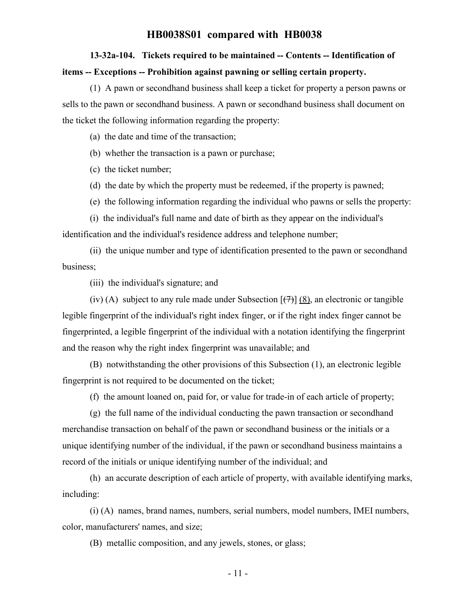# **13-32a-104. Tickets required to be maintained -- Contents -- Identification of items -- Exceptions -- Prohibition against pawning or selling certain property.**

(1) A pawn or secondhand business shall keep a ticket for property a person pawns or sells to the pawn or secondhand business. A pawn or secondhand business shall document on the ticket the following information regarding the property:

(a) the date and time of the transaction;

(b) whether the transaction is a pawn or purchase;

(c) the ticket number;

(d) the date by which the property must be redeemed, if the property is pawned;

(e) the following information regarding the individual who pawns or sells the property:

(i) the individual's full name and date of birth as they appear on the individual's identification and the individual's residence address and telephone number;

(ii) the unique number and type of identification presented to the pawn or secondhand business;

(iii) the individual's signature; and

(iv) (A) subject to any rule made under Subsection  $[\frac{(7)}{(7)}]$  (8), an electronic or tangible legible fingerprint of the individual's right index finger, or if the right index finger cannot be fingerprinted, a legible fingerprint of the individual with a notation identifying the fingerprint and the reason why the right index fingerprint was unavailable; and

(B) notwithstanding the other provisions of this Subsection (1), an electronic legible fingerprint is not required to be documented on the ticket;

(f) the amount loaned on, paid for, or value for trade-in of each article of property;

(g) the full name of the individual conducting the pawn transaction or secondhand merchandise transaction on behalf of the pawn or secondhand business or the initials or a unique identifying number of the individual, if the pawn or secondhand business maintains a record of the initials or unique identifying number of the individual; and

(h) an accurate description of each article of property, with available identifying marks, including:

(i) (A) names, brand names, numbers, serial numbers, model numbers, IMEI numbers, color, manufacturers' names, and size;

(B) metallic composition, and any jewels, stones, or glass;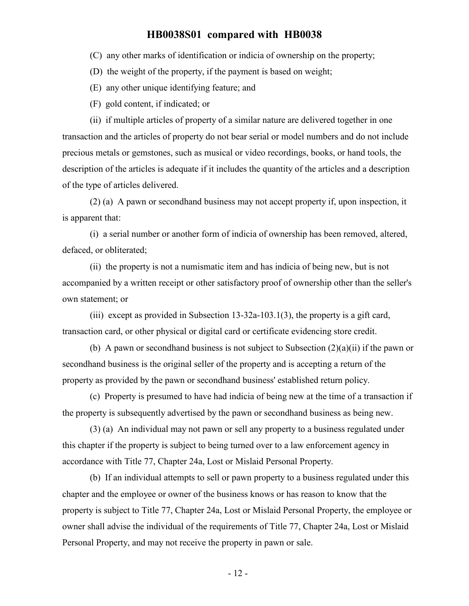(C) any other marks of identification or indicia of ownership on the property;

(D) the weight of the property, if the payment is based on weight;

- (E) any other unique identifying feature; and
- (F) gold content, if indicated; or

(ii) if multiple articles of property of a similar nature are delivered together in one transaction and the articles of property do not bear serial or model numbers and do not include precious metals or gemstones, such as musical or video recordings, books, or hand tools, the description of the articles is adequate if it includes the quantity of the articles and a description of the type of articles delivered.

(2) (a) A pawn or secondhand business may not accept property if, upon inspection, it is apparent that:

(i) a serial number or another form of indicia of ownership has been removed, altered, defaced, or obliterated;

(ii) the property is not a numismatic item and has indicia of being new, but is not accompanied by a written receipt or other satisfactory proof of ownership other than the seller's own statement; or

(iii) except as provided in Subsection 13-32a-103.1(3), the property is a gift card, transaction card, or other physical or digital card or certificate evidencing store credit.

(b) A pawn or secondhand business is not subject to Subsection  $(2)(a)(ii)$  if the pawn or secondhand business is the original seller of the property and is accepting a return of the property as provided by the pawn or secondhand business' established return policy.

(c) Property is presumed to have had indicia of being new at the time of a transaction if the property is subsequently advertised by the pawn or secondhand business as being new.

(3) (a) An individual may not pawn or sell any property to a business regulated under this chapter if the property is subject to being turned over to a law enforcement agency in accordance with Title 77, Chapter 24a, Lost or Mislaid Personal Property.

(b) If an individual attempts to sell or pawn property to a business regulated under this chapter and the employee or owner of the business knows or has reason to know that the property is subject to Title 77, Chapter 24a, Lost or Mislaid Personal Property, the employee or owner shall advise the individual of the requirements of Title 77, Chapter 24a, Lost or Mislaid Personal Property, and may not receive the property in pawn or sale.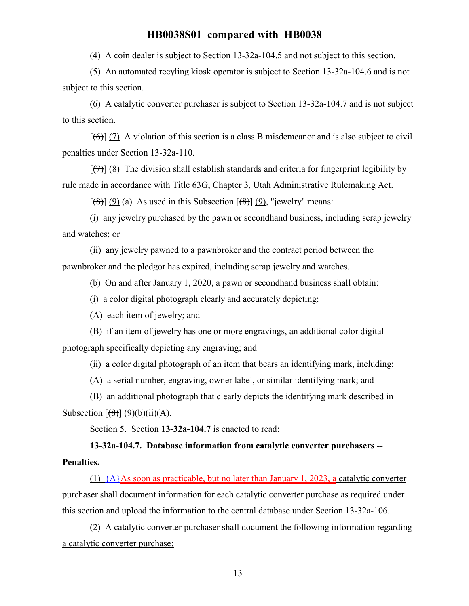(4) A coin dealer is subject to Section 13-32a-104.5 and not subject to this section.

(5) An automated recyling kiosk operator is subject to Section 13-32a-104.6 and is not subject to this section.

(6) A catalytic converter purchaser is subject to Section 13-32a-104.7 and is not subject to this section.

 $[(6)]$  (7) A violation of this section is a class B misdemeanor and is also subject to civil penalties under Section 13-32a-110.

 $[\overline{(7)}]$  (8) The division shall establish standards and criteria for fingerprint legibility by rule made in accordance with Title 63G, Chapter 3, Utah Administrative Rulemaking Act.

 $[(8)] (9) (a)$  As used in this Subsection  $[(8)] (9)$ , "jewelry" means:

(i) any jewelry purchased by the pawn or secondhand business, including scrap jewelry and watches; or

(ii) any jewelry pawned to a pawnbroker and the contract period between the pawnbroker and the pledgor has expired, including scrap jewelry and watches.

(b) On and after January 1, 2020, a pawn or secondhand business shall obtain:

(i) a color digital photograph clearly and accurately depicting:

(A) each item of jewelry; and

(B) if an item of jewelry has one or more engravings, an additional color digital photograph specifically depicting any engraving; and

(ii) a color digital photograph of an item that bears an identifying mark, including:

(A) a serial number, engraving, owner label, or similar identifying mark; and

(B) an additional photograph that clearly depicts the identifying mark described in Subsection  $\left[\frac{8}{8}\right] (9)(b)(ii)(A)$ .

Section 5. Section **13-32a-104.7** is enacted to read:

# **13-32a-104.7. Database information from catalytic converter purchasers -- Penalties.**

(1)  $\{A\}$ As soon as practicable, but no later than January 1, 2023, a catalytic converter purchaser shall document information for each catalytic converter purchase as required under this section and upload the information to the central database under Section 13-32a-106.

(2) A catalytic converter purchaser shall document the following information regarding a catalytic converter purchase: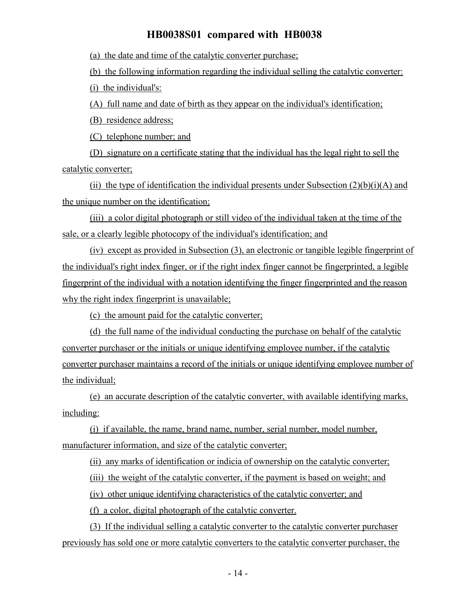(a) the date and time of the catalytic converter purchase;

(b) the following information regarding the individual selling the catalytic converter:

(i) the individual's:

(A) full name and date of birth as they appear on the individual's identification;

(B) residence address;

(C) telephone number; and

(D) signature on a certificate stating that the individual has the legal right to sell the catalytic converter;

(ii) the type of identification the individual presents under Subsection  $(2)(b)(i)(A)$  and the unique number on the identification;

(iii) a color digital photograph or still video of the individual taken at the time of the sale, or a clearly legible photocopy of the individual's identification; and

(iv) except as provided in Subsection (3), an electronic or tangible legible fingerprint of the individual's right index finger, or if the right index finger cannot be fingerprinted, a legible fingerprint of the individual with a notation identifying the finger fingerprinted and the reason why the right index fingerprint is unavailable;

(c) the amount paid for the catalytic converter;

(d) the full name of the individual conducting the purchase on behalf of the catalytic converter purchaser or the initials or unique identifying employee number, if the catalytic converter purchaser maintains a record of the initials or unique identifying employee number of the individual;

(e) an accurate description of the catalytic converter, with available identifying marks, including:

(i) if available, the name, brand name, number, serial number, model number, manufacturer information, and size of the catalytic converter;

(ii) any marks of identification or indicia of ownership on the catalytic converter;

(iii) the weight of the catalytic converter, if the payment is based on weight; and

(iv) other unique identifying characteristics of the catalytic converter; and

(f) a color, digital photograph of the catalytic converter.

(3) If the individual selling a catalytic converter to the catalytic converter purchaser previously has sold one or more catalytic converters to the catalytic converter purchaser, the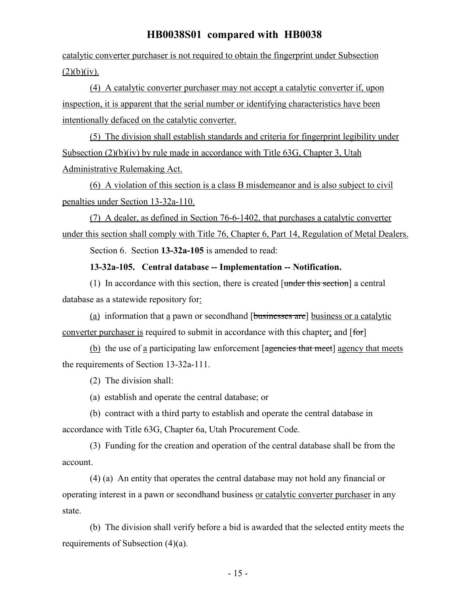catalytic converter purchaser is not required to obtain the fingerprint under Subsection  $(2)(b)(iv).$ 

(4) A catalytic converter purchaser may not accept a catalytic converter if, upon inspection, it is apparent that the serial number or identifying characteristics have been intentionally defaced on the catalytic converter.

(5) The division shall establish standards and criteria for fingerprint legibility under Subsection (2)(b)(iv) by rule made in accordance with Title 63G, Chapter 3, Utah Administrative Rulemaking Act.

(6) A violation of this section is a class B misdemeanor and is also subject to civil penalties under Section 13-32a-110.

(7) A dealer, as defined in Section 76-6-1402, that purchases a catalytic converter under this section shall comply with Title 76, Chapter 6, Part 14, Regulation of Metal Dealers.

Section 6. Section **13-32a-105** is amended to read:

**13-32a-105. Central database -- Implementation -- Notification.**

(1) In accordance with this section, there is created [under this section] a central database as a statewide repository for:

(a) information that a pawn or secondhand [businesses are] business or a catalytic converter purchaser is required to submit in accordance with this chapter; and [for]

(b) the use of a participating law enforcement [agencies that meet] agency that meets the requirements of Section 13-32a-111.

(2) The division shall:

(a) establish and operate the central database; or

(b) contract with a third party to establish and operate the central database in accordance with Title 63G, Chapter 6a, Utah Procurement Code.

(3) Funding for the creation and operation of the central database shall be from the account.

(4) (a) An entity that operates the central database may not hold any financial or operating interest in a pawn or secondhand business or catalytic converter purchaser in any state.

(b) The division shall verify before a bid is awarded that the selected entity meets the requirements of Subsection (4)(a).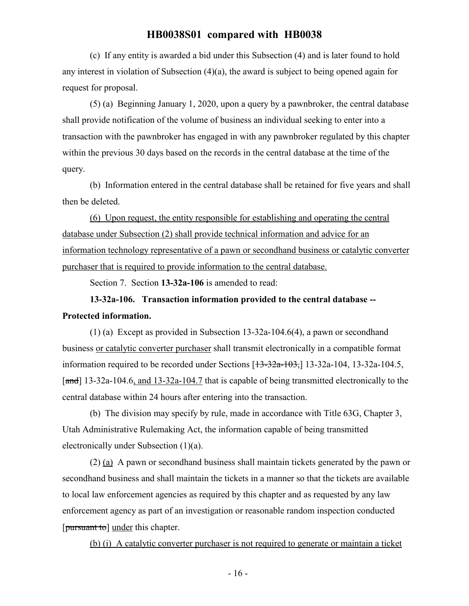(c) If any entity is awarded a bid under this Subsection (4) and is later found to hold any interest in violation of Subsection (4)(a), the award is subject to being opened again for request for proposal.

(5) (a) Beginning January 1, 2020, upon a query by a pawnbroker, the central database shall provide notification of the volume of business an individual seeking to enter into a transaction with the pawnbroker has engaged in with any pawnbroker regulated by this chapter within the previous 30 days based on the records in the central database at the time of the query.

(b) Information entered in the central database shall be retained for five years and shall then be deleted.

(6) Upon request, the entity responsible for establishing and operating the central database under Subsection (2) shall provide technical information and advice for an information technology representative of a pawn or secondhand business or catalytic converter purchaser that is required to provide information to the central database.

Section 7. Section **13-32a-106** is amended to read:

# **13-32a-106. Transaction information provided to the central database -- Protected information.**

(1) (a) Except as provided in Subsection 13-32a-104.6(4), a pawn or secondhand business or catalytic converter purchaser shall transmit electronically in a compatible format information required to be recorded under Sections  $[13-32a-103, 13-32a-104, 13-32a-104.5,$ [and] 13-32a-104.6, and 13-32a-104.7 that is capable of being transmitted electronically to the central database within 24 hours after entering into the transaction.

(b) The division may specify by rule, made in accordance with Title 63G, Chapter 3, Utah Administrative Rulemaking Act, the information capable of being transmitted electronically under Subsection (1)(a).

(2) (a) A pawn or secondhand business shall maintain tickets generated by the pawn or secondhand business and shall maintain the tickets in a manner so that the tickets are available to local law enforcement agencies as required by this chapter and as requested by any law enforcement agency as part of an investigation or reasonable random inspection conducted [pursuant to] under this chapter.

(b) (i) A catalytic converter purchaser is not required to generate or maintain a ticket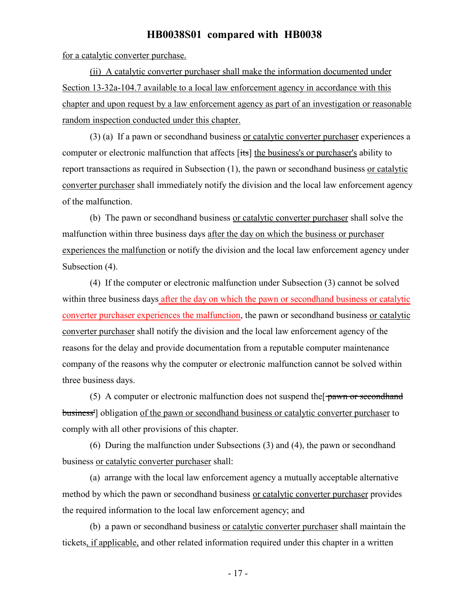for a catalytic converter purchase.

(ii) A catalytic converter purchaser shall make the information documented under Section 13-32a-104.7 available to a local law enforcement agency in accordance with this chapter and upon request by a law enforcement agency as part of an investigation or reasonable random inspection conducted under this chapter.

(3) (a) If a pawn or secondhand business or catalytic converter purchaser experiences a computer or electronic malfunction that affects [its] the business's or purchaser's ability to report transactions as required in Subsection (1), the pawn or secondhand business or catalytic converter purchaser shall immediately notify the division and the local law enforcement agency of the malfunction.

(b) The pawn or secondhand business or catalytic converter purchaser shall solve the malfunction within three business days after the day on which the business or purchaser experiences the malfunction or notify the division and the local law enforcement agency under Subsection (4).

(4) If the computer or electronic malfunction under Subsection (3) cannot be solved within three business days after the day on which the pawn or secondhand business or catalytic converter purchaser experiences the malfunction, the pawn or secondhand business or catalytic converter purchaser shall notify the division and the local law enforcement agency of the reasons for the delay and provide documentation from a reputable computer maintenance company of the reasons why the computer or electronic malfunction cannot be solved within three business days.

(5) A computer or electronic malfunction does not suspend the  $\frac{1}{2}$  pawn or second hand business'] obligation of the pawn or secondhand business or catalytic converter purchaser to comply with all other provisions of this chapter.

(6) During the malfunction under Subsections (3) and (4), the pawn or secondhand business or catalytic converter purchaser shall:

(a) arrange with the local law enforcement agency a mutually acceptable alternative method by which the pawn or secondhand business or catalytic converter purchaser provides the required information to the local law enforcement agency; and

(b) a pawn or secondhand business or catalytic converter purchaser shall maintain the tickets, if applicable, and other related information required under this chapter in a written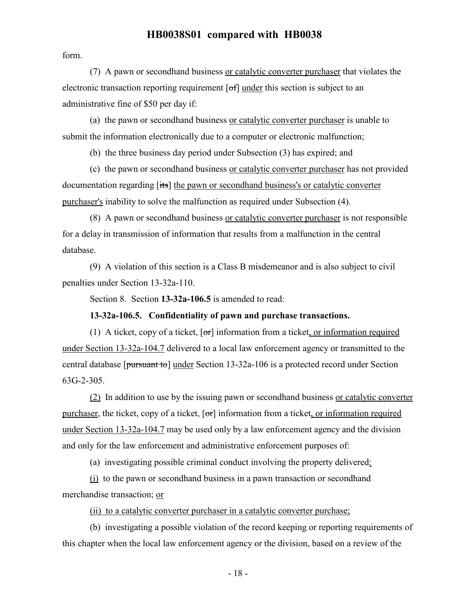form.

(7) A pawn or secondhand business or catalytic converter purchaser that violates the electronic transaction reporting requirement [of] under this section is subject to an administrative fine of \$50 per day if:

(a) the pawn or secondhand business or catalytic converter purchaser is unable to submit the information electronically due to a computer or electronic malfunction;

(b) the three business day period under Subsection (3) has expired; and

(c) the pawn or secondhand business or catalytic converter purchaser has not provided documentation regarding [its] the pawn or secondhand business's or catalytic converter purchaser's inability to solve the malfunction as required under Subsection (4).

(8) A pawn or secondhand business or catalytic converter purchaser is not responsible for a delay in transmission of information that results from a malfunction in the central database.

(9) A violation of this section is a Class B misdemeanor and is also subject to civil penalties under Section 13-32a-110.

Section 8. Section **13-32a-106.5** is amended to read:

#### **13-32a-106.5. Confidentiality of pawn and purchase transactions.**

(1) A ticket, copy of a ticket, [or] information from a ticket, or information required under Section 13-32a-104.7 delivered to a local law enforcement agency or transmitted to the central database [pursuant to] under Section 13-32a-106 is a protected record under Section 63G-2-305.

(2) In addition to use by the issuing pawn or secondhand business or catalytic converter purchaser, the ticket, copy of a ticket,  $\sigma$  information from a ticket, or information required under Section 13-32a-104.7 may be used only by a law enforcement agency and the division and only for the law enforcement and administrative enforcement purposes of:

(a) investigating possible criminal conduct involving the property delivered:

(i) to the pawn or secondhand business in a pawn transaction or secondhand merchandise transaction; or

(ii) to a catalytic converter purchaser in a catalytic converter purchase;

(b) investigating a possible violation of the record keeping or reporting requirements of this chapter when the local law enforcement agency or the division, based on a review of the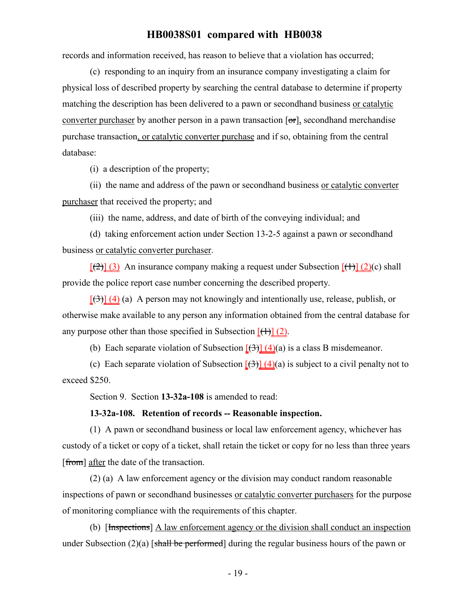records and information received, has reason to believe that a violation has occurred;

(c) responding to an inquiry from an insurance company investigating a claim for physical loss of described property by searching the central database to determine if property matching the description has been delivered to a pawn or secondhand business or catalytic converter purchaser by another person in a pawn transaction  $[\sigma r]$ , secondhand merchandise purchase transaction, or catalytic converter purchase and if so, obtaining from the central database:

(i) a description of the property;

(ii) the name and address of the pawn or secondhand business or catalytic converter purchaser that received the property; and

(iii) the name, address, and date of birth of the conveying individual; and

(d) taking enforcement action under Section 13-2-5 against a pawn or secondhand business or catalytic converter purchaser.

 $[(2)]$  (3) An insurance company making a request under Subsection  $[(1)]$  (2)(c) shall provide the police report case number concerning the described property.

 $[\frac{(3)}{(4)}]$  (4) (a) A person may not knowingly and intentionally use, release, publish, or otherwise make available to any person any information obtained from the central database for any purpose other than those specified in Subsection  $[(+)] (2)$ .

(b) Each separate violation of Subsection  $\frac{1}{3} \frac{4}{4} \cdot \frac{4}{4}$  is a class B misdemeanor.

(c) Each separate violation of Subsection  $\left[\left(\frac{1}{2}\right)\right]$  (4)(a) is subject to a civil penalty not to exceed \$250.

Section 9. Section **13-32a-108** is amended to read:

#### **13-32a-108. Retention of records -- Reasonable inspection.**

(1) A pawn or secondhand business or local law enforcement agency, whichever has custody of a ticket or copy of a ticket, shall retain the ticket or copy for no less than three years [from] after the date of the transaction.

(2) (a) A law enforcement agency or the division may conduct random reasonable inspections of pawn or secondhand businesses or catalytic converter purchasers for the purpose of monitoring compliance with the requirements of this chapter.

(b) [Inspections] A law enforcement agency or the division shall conduct an inspection under Subsection  $(2)(a)$  [shall be performed] during the regular business hours of the pawn or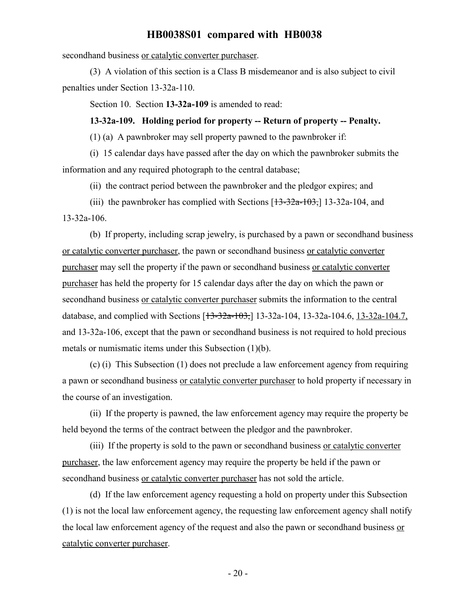secondhand business or catalytic converter purchaser.

(3) A violation of this section is a Class B misdemeanor and is also subject to civil penalties under Section 13-32a-110.

Section 10. Section **13-32a-109** is amended to read:

#### **13-32a-109. Holding period for property -- Return of property -- Penalty.**

(1) (a) A pawnbroker may sell property pawned to the pawnbroker if:

(i) 15 calendar days have passed after the day on which the pawnbroker submits the information and any required photograph to the central database;

(ii) the contract period between the pawnbroker and the pledgor expires; and

(iii) the pawnbroker has complied with Sections  $[13-32a-103, 13-32a-104,$  and

13-32a-106.

(b) If property, including scrap jewelry, is purchased by a pawn or secondhand business or catalytic converter purchaser, the pawn or secondhand business or catalytic converter purchaser may sell the property if the pawn or secondhand business or catalytic converter purchaser has held the property for 15 calendar days after the day on which the pawn or secondhand business or catalytic converter purchaser submits the information to the central database, and complied with Sections [13-32a-103,] 13-32a-104, 13-32a-104.6, 13-32a-104.7, and 13-32a-106, except that the pawn or secondhand business is not required to hold precious metals or numismatic items under this Subsection (1)(b).

(c) (i) This Subsection (1) does not preclude a law enforcement agency from requiring a pawn or secondhand business or catalytic converter purchaser to hold property if necessary in the course of an investigation.

(ii) If the property is pawned, the law enforcement agency may require the property be held beyond the terms of the contract between the pledgor and the pawnbroker.

(iii) If the property is sold to the pawn or secondhand business or catalytic converter purchaser, the law enforcement agency may require the property be held if the pawn or secondhand business or catalytic converter purchaser has not sold the article.

(d) If the law enforcement agency requesting a hold on property under this Subsection (1) is not the local law enforcement agency, the requesting law enforcement agency shall notify the local law enforcement agency of the request and also the pawn or secondhand business or catalytic converter purchaser.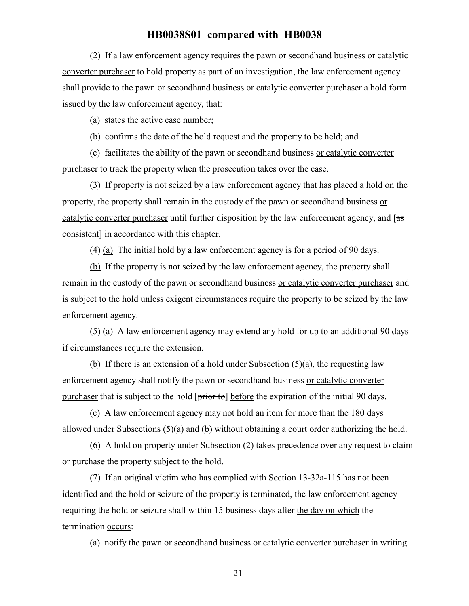(2) If a law enforcement agency requires the pawn or secondhand business or catalytic converter purchaser to hold property as part of an investigation, the law enforcement agency shall provide to the pawn or secondhand business or catalytic converter purchaser a hold form issued by the law enforcement agency, that:

(a) states the active case number;

(b) confirms the date of the hold request and the property to be held; and

(c) facilitates the ability of the pawn or secondhand business or catalytic converter purchaser to track the property when the prosecution takes over the case.

(3) If property is not seized by a law enforcement agency that has placed a hold on the property, the property shall remain in the custody of the pawn or secondhand business or catalytic converter purchaser until further disposition by the law enforcement agency, and  $\left[$ as consistent] in accordance with this chapter.

(4) (a) The initial hold by a law enforcement agency is for a period of 90 days.

(b) If the property is not seized by the law enforcement agency, the property shall remain in the custody of the pawn or secondhand business or catalytic converter purchaser and is subject to the hold unless exigent circumstances require the property to be seized by the law enforcement agency.

(5) (a) A law enforcement agency may extend any hold for up to an additional 90 days if circumstances require the extension.

(b) If there is an extension of a hold under Subsection  $(5)(a)$ , the requesting law enforcement agency shall notify the pawn or secondhand business or catalytic converter purchaser that is subject to the hold  $[\overline{\text{prior to}}]$  before the expiration of the initial 90 days.

(c) A law enforcement agency may not hold an item for more than the 180 days allowed under Subsections (5)(a) and (b) without obtaining a court order authorizing the hold.

(6) A hold on property under Subsection (2) takes precedence over any request to claim or purchase the property subject to the hold.

(7) If an original victim who has complied with Section 13-32a-115 has not been identified and the hold or seizure of the property is terminated, the law enforcement agency requiring the hold or seizure shall within 15 business days after the day on which the termination occurs:

(a) notify the pawn or secondhand business or catalytic converter purchaser in writing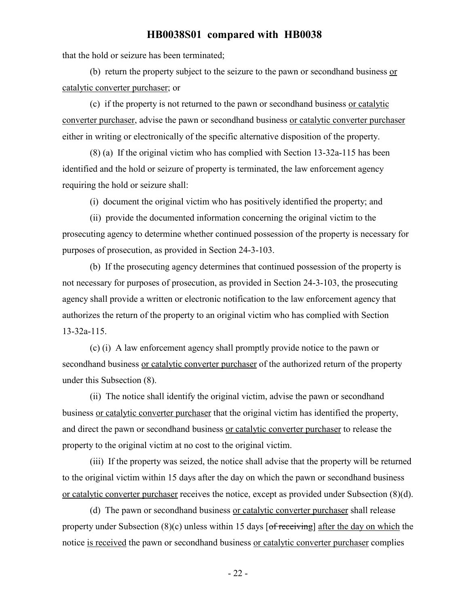that the hold or seizure has been terminated;

(b) return the property subject to the seizure to the pawn or secondhand business  $or$ catalytic converter purchaser; or

(c) if the property is not returned to the pawn or secondhand business or catalytic converter purchaser, advise the pawn or secondhand business or catalytic converter purchaser either in writing or electronically of the specific alternative disposition of the property.

(8) (a) If the original victim who has complied with Section 13-32a-115 has been identified and the hold or seizure of property is terminated, the law enforcement agency requiring the hold or seizure shall:

(i) document the original victim who has positively identified the property; and

(ii) provide the documented information concerning the original victim to the prosecuting agency to determine whether continued possession of the property is necessary for purposes of prosecution, as provided in Section 24-3-103.

(b) If the prosecuting agency determines that continued possession of the property is not necessary for purposes of prosecution, as provided in Section 24-3-103, the prosecuting agency shall provide a written or electronic notification to the law enforcement agency that authorizes the return of the property to an original victim who has complied with Section 13-32a-115.

(c) (i) A law enforcement agency shall promptly provide notice to the pawn or secondhand business or catalytic converter purchaser of the authorized return of the property under this Subsection (8).

(ii) The notice shall identify the original victim, advise the pawn or secondhand business or catalytic converter purchaser that the original victim has identified the property, and direct the pawn or secondhand business or catalytic converter purchaser to release the property to the original victim at no cost to the original victim.

(iii) If the property was seized, the notice shall advise that the property will be returned to the original victim within 15 days after the day on which the pawn or secondhand business or catalytic converter purchaser receives the notice, except as provided under Subsection (8)(d).

(d) The pawn or secondhand business or catalytic converter purchaser shall release property under Subsection  $(8)(c)$  unless within 15 days  $\lceil$  of receiving] after the day on which the notice is received the pawn or secondhand business or catalytic converter purchaser complies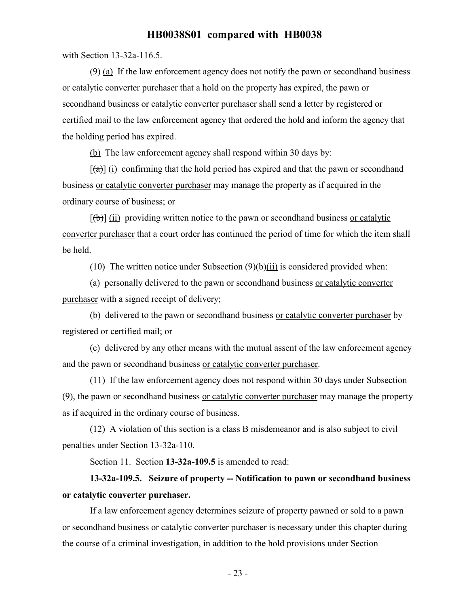with Section 13-32a-116.5.

(9) (a) If the law enforcement agency does not notify the pawn or secondhand business or catalytic converter purchaser that a hold on the property has expired, the pawn or secondhand business or catalytic converter purchaser shall send a letter by registered or certified mail to the law enforcement agency that ordered the hold and inform the agency that the holding period has expired.

(b) The law enforcement agency shall respond within 30 days by:

 $[(a)]$  (i) confirming that the hold period has expired and that the pawn or secondhand business or catalytic converter purchaser may manage the property as if acquired in the ordinary course of business; or

 $[\phi]$  (ii) providing written notice to the pawn or secondhand business or catalytic converter purchaser that a court order has continued the period of time for which the item shall be held.

(10) The written notice under Subsection  $(9)(b)(ii)$  is considered provided when:

(a) personally delivered to the pawn or secondhand business or catalytic converter purchaser with a signed receipt of delivery;

(b) delivered to the pawn or secondhand business or catalytic converter purchaser by registered or certified mail; or

(c) delivered by any other means with the mutual assent of the law enforcement agency and the pawn or secondhand business or catalytic converter purchaser.

(11) If the law enforcement agency does not respond within 30 days under Subsection (9), the pawn or secondhand business or catalytic converter purchaser may manage the property as if acquired in the ordinary course of business.

(12) A violation of this section is a class B misdemeanor and is also subject to civil penalties under Section 13-32a-110.

Section 11. Section **13-32a-109.5** is amended to read:

# **13-32a-109.5. Seizure of property -- Notification to pawn or secondhand business or catalytic converter purchaser.**

If a law enforcement agency determines seizure of property pawned or sold to a pawn or secondhand business or catalytic converter purchaser is necessary under this chapter during the course of a criminal investigation, in addition to the hold provisions under Section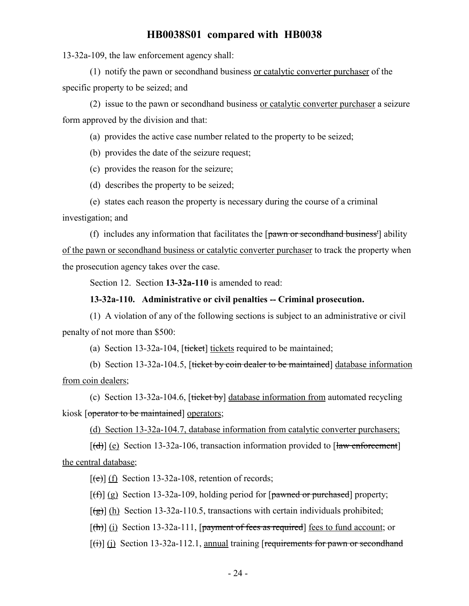13-32a-109, the law enforcement agency shall:

(1) notify the pawn or secondhand business or catalytic converter purchaser of the specific property to be seized; and

(2) issue to the pawn or secondhand business or catalytic converter purchaser a seizure form approved by the division and that:

(a) provides the active case number related to the property to be seized;

(b) provides the date of the seizure request;

(c) provides the reason for the seizure;

(d) describes the property to be seized;

(e) states each reason the property is necessary during the course of a criminal

investigation; and

(f) includes any information that facilitates the  $\lceil \frac{\text{pawn or secondhand business}}{\text{pawn or secondhand business}} \rceil$  ability of the pawn or secondhand business or catalytic converter purchaser to track the property when the prosecution agency takes over the case.

Section 12. Section **13-32a-110** is amended to read:

### **13-32a-110. Administrative or civil penalties -- Criminal prosecution.**

(1) A violation of any of the following sections is subject to an administrative or civil penalty of not more than \$500:

(a) Section 13-32a-104,  $[tiket]$  tickets required to be maintained;

(b) Section 13-32a-104.5, [ticket by coin dealer to be maintained] database information from coin dealers;

(c) Section 13-32a-104.6,  $[tie~~ket~~ by] database information from automated recycling$ kiosk [operator to be maintained] operators;

(d) Section 13-32a-104.7, database information from catalytic converter purchasers;

 $[(d)]$  (e) Section 13-32a-106, transaction information provided to  $[{\text{law enforcement}}]$ the central database;

 $[\text{e}(\text{e})]$  (f) Section 13-32a-108, retention of records;

 $[f(f)]$  (g) Section 13-32a-109, holding period for  $\lceil$  powned or purchased property;

 $[\frac{1}{2}]$  (h) Section 13-32a-110.5, transactions with certain individuals prohibited;

 $[(\text{th})]$  (i) Section 13-32a-111, [payment of fees as required] fees to fund account; or

 $[(\text{ii})]$  (i) Section 13-32a-112.1, annual training [requirements for pawn or second hand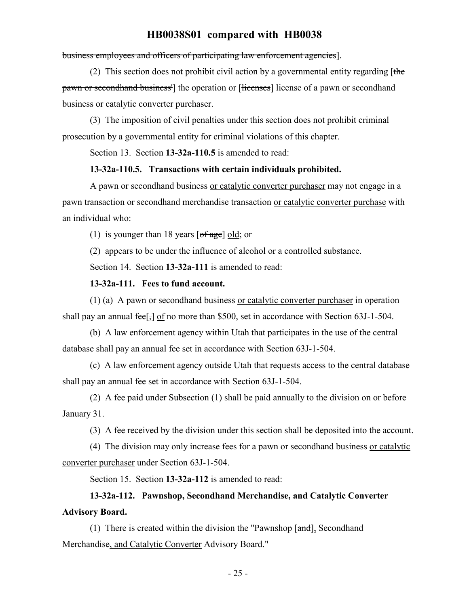#### business employees and officers of participating law enforcement agencies].

(2) This section does not prohibit civil action by a governmental entity regarding  $[$ the pawn or secondhand business<sup>1</sup> the operation or [licenses] license of a pawn or secondhand business or catalytic converter purchaser.

(3) The imposition of civil penalties under this section does not prohibit criminal prosecution by a governmental entity for criminal violations of this chapter.

Section 13. Section **13-32a-110.5** is amended to read:

### **13-32a-110.5. Transactions with certain individuals prohibited.**

A pawn or secondhand business or catalytic converter purchaser may not engage in a pawn transaction or secondhand merchandise transaction or catalytic converter purchase with an individual who:

(1) is younger than 18 years  $\lceil \text{of age} \rceil \text{ old}$ ; or

(2) appears to be under the influence of alcohol or a controlled substance.

Section 14. Section **13-32a-111** is amended to read:

### **13-32a-111. Fees to fund account.**

(1) (a) A pawn or secondhand business or catalytic converter purchaser in operation shall pay an annual fee<sup>[-]</sup> of no more than \$500, set in accordance with Section 63J-1-504.

(b) A law enforcement agency within Utah that participates in the use of the central database shall pay an annual fee set in accordance with Section 63J-1-504.

(c) A law enforcement agency outside Utah that requests access to the central database shall pay an annual fee set in accordance with Section 63J-1-504.

(2) A fee paid under Subsection (1) shall be paid annually to the division on or before January 31.

(3) A fee received by the division under this section shall be deposited into the account.

(4) The division may only increase fees for a pawn or secondhand business or catalytic converter purchaser under Section 63J-1-504.

Section 15. Section **13-32a-112** is amended to read:

# **13-32a-112. Pawnshop, Secondhand Merchandise, and Catalytic Converter Advisory Board.**

(1) There is created within the division the "Pawnshop  $[\text{and}]$ , Secondhand Merchandise, and Catalytic Converter Advisory Board."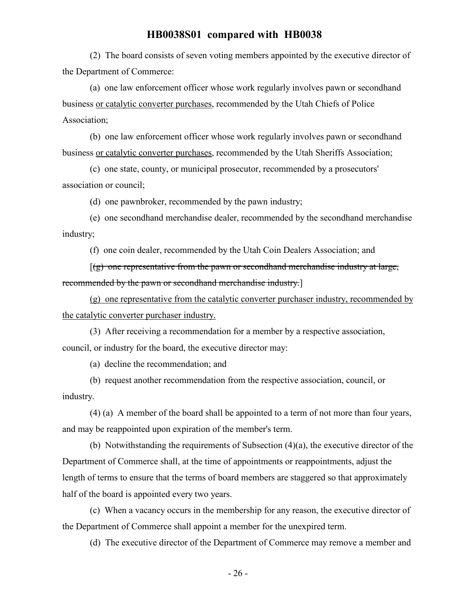(2) The board consists of seven voting members appointed by the executive director of the Department of Commerce:

(a) one law enforcement officer whose work regularly involves pawn or secondhand business or catalytic converter purchases, recommended by the Utah Chiefs of Police Association;

(b) one law enforcement officer whose work regularly involves pawn or secondhand business or catalytic converter purchases, recommended by the Utah Sheriffs Association;

(c) one state, county, or municipal prosecutor, recommended by a prosecutors' association or council;

(d) one pawnbroker, recommended by the pawn industry;

(e) one secondhand merchandise dealer, recommended by the secondhand merchandise industry;

(f) one coin dealer, recommended by the Utah Coin Dealers Association; and

 $[(g)$  one representative from the pawn or secondhand merchandise industry at large, recommended by the pawn or secondhand merchandise industry.]

(g) one representative from the catalytic converter purchaser industry, recommended by the catalytic converter purchaser industry.

(3) After receiving a recommendation for a member by a respective association, council, or industry for the board, the executive director may:

(a) decline the recommendation; and

(b) request another recommendation from the respective association, council, or industry.

(4) (a) A member of the board shall be appointed to a term of not more than four years, and may be reappointed upon expiration of the member's term.

(b) Notwithstanding the requirements of Subsection (4)(a), the executive director of the Department of Commerce shall, at the time of appointments or reappointments, adjust the length of terms to ensure that the terms of board members are staggered so that approximately half of the board is appointed every two years.

(c) When a vacancy occurs in the membership for any reason, the executive director of the Department of Commerce shall appoint a member for the unexpired term.

(d) The executive director of the Department of Commerce may remove a member and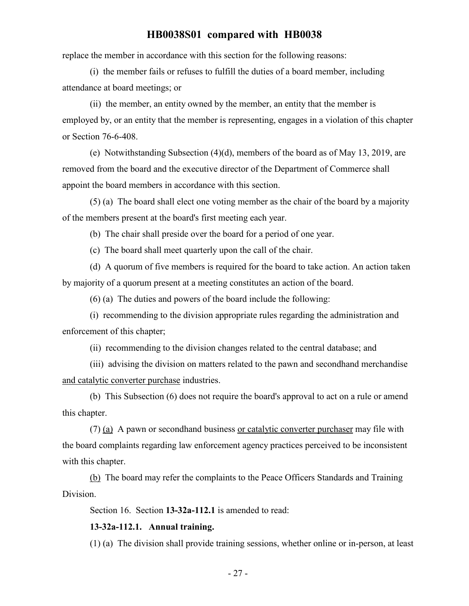replace the member in accordance with this section for the following reasons:

(i) the member fails or refuses to fulfill the duties of a board member, including attendance at board meetings; or

(ii) the member, an entity owned by the member, an entity that the member is employed by, or an entity that the member is representing, engages in a violation of this chapter or Section 76-6-408.

(e) Notwithstanding Subsection (4)(d), members of the board as of May 13, 2019, are removed from the board and the executive director of the Department of Commerce shall appoint the board members in accordance with this section.

(5) (a) The board shall elect one voting member as the chair of the board by a majority of the members present at the board's first meeting each year.

(b) The chair shall preside over the board for a period of one year.

(c) The board shall meet quarterly upon the call of the chair.

(d) A quorum of five members is required for the board to take action. An action taken by majority of a quorum present at a meeting constitutes an action of the board.

(6) (a) The duties and powers of the board include the following:

(i) recommending to the division appropriate rules regarding the administration and enforcement of this chapter;

(ii) recommending to the division changes related to the central database; and

(iii) advising the division on matters related to the pawn and secondhand merchandise and catalytic converter purchase industries.

(b) This Subsection (6) does not require the board's approval to act on a rule or amend this chapter.

(7) (a) A pawn or secondhand business or catalytic converter purchaser may file with the board complaints regarding law enforcement agency practices perceived to be inconsistent with this chapter.

(b) The board may refer the complaints to the Peace Officers Standards and Training Division.

Section 16. Section **13-32a-112.1** is amended to read:

#### **13-32a-112.1. Annual training.**

(1) (a) The division shall provide training sessions, whether online or in-person, at least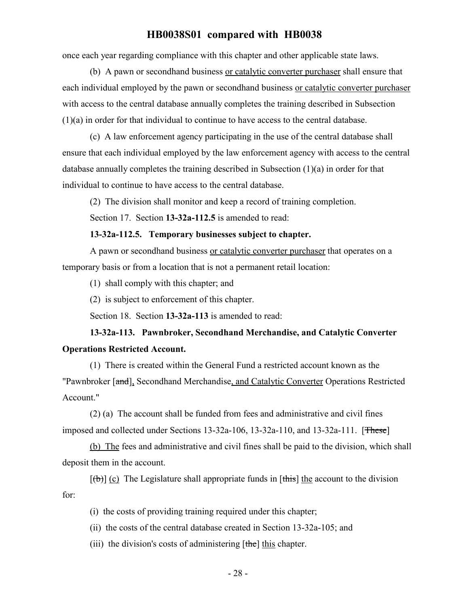once each year regarding compliance with this chapter and other applicable state laws.

(b) A pawn or secondhand business or catalytic converter purchaser shall ensure that each individual employed by the pawn or secondhand business or catalytic converter purchaser with access to the central database annually completes the training described in Subsection (1)(a) in order for that individual to continue to have access to the central database.

(c) A law enforcement agency participating in the use of the central database shall ensure that each individual employed by the law enforcement agency with access to the central database annually completes the training described in Subsection (1)(a) in order for that individual to continue to have access to the central database.

(2) The division shall monitor and keep a record of training completion.

Section 17. Section **13-32a-112.5** is amended to read:

#### **13-32a-112.5. Temporary businesses subject to chapter.**

A pawn or secondhand business or catalytic converter purchaser that operates on a temporary basis or from a location that is not a permanent retail location:

(1) shall comply with this chapter; and

(2) is subject to enforcement of this chapter.

Section 18. Section **13-32a-113** is amended to read:

# **13-32a-113. Pawnbroker, Secondhand Merchandise, and Catalytic Converter Operations Restricted Account.**

(1) There is created within the General Fund a restricted account known as the "Pawnbroker [and], Secondhand Merchandise, and Catalytic Converter Operations Restricted Account."

(2) (a) The account shall be funded from fees and administrative and civil fines imposed and collected under Sections  $13-32a-106$ ,  $13-32a-110$ , and  $13-32a-111$ . [These]

(b) The fees and administrative and civil fines shall be paid to the division, which shall deposit them in the account.

 $[\theta]$  (c) The Legislature shall appropriate funds in [this] the account to the division for:

(i) the costs of providing training required under this chapter;

(ii) the costs of the central database created in Section 13-32a-105; and

(iii) the division's costs of administering  $[the]$  this chapter.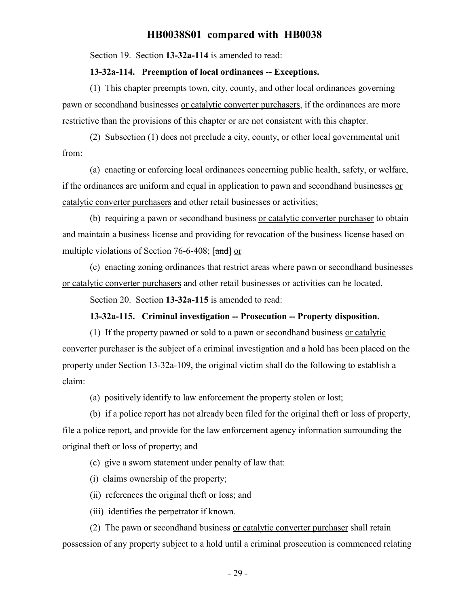Section 19. Section **13-32a-114** is amended to read:

#### **13-32a-114. Preemption of local ordinances -- Exceptions.**

(1) This chapter preempts town, city, county, and other local ordinances governing pawn or secondhand businesses or catalytic converter purchasers, if the ordinances are more restrictive than the provisions of this chapter or are not consistent with this chapter.

(2) Subsection (1) does not preclude a city, county, or other local governmental unit from:

(a) enacting or enforcing local ordinances concerning public health, safety, or welfare, if the ordinances are uniform and equal in application to pawn and secondhand businesses or catalytic converter purchasers and other retail businesses or activities;

(b) requiring a pawn or secondhand business or catalytic converter purchaser to obtain and maintain a business license and providing for revocation of the business license based on multiple violations of Section 76-6-408;  $\lceil \frac{\text{and}}{\text{or}} \rceil$ 

(c) enacting zoning ordinances that restrict areas where pawn or secondhand businesses or catalytic converter purchasers and other retail businesses or activities can be located.

Section 20. Section **13-32a-115** is amended to read:

#### **13-32a-115. Criminal investigation -- Prosecution -- Property disposition.**

(1) If the property pawned or sold to a pawn or secondhand business or catalytic converter purchaser is the subject of a criminal investigation and a hold has been placed on the property under Section 13-32a-109, the original victim shall do the following to establish a claim:

(a) positively identify to law enforcement the property stolen or lost;

(b) if a police report has not already been filed for the original theft or loss of property, file a police report, and provide for the law enforcement agency information surrounding the original theft or loss of property; and

(c) give a sworn statement under penalty of law that:

- (i) claims ownership of the property;
- (ii) references the original theft or loss; and
- (iii) identifies the perpetrator if known.

(2) The pawn or secondhand business or catalytic converter purchaser shall retain possession of any property subject to a hold until a criminal prosecution is commenced relating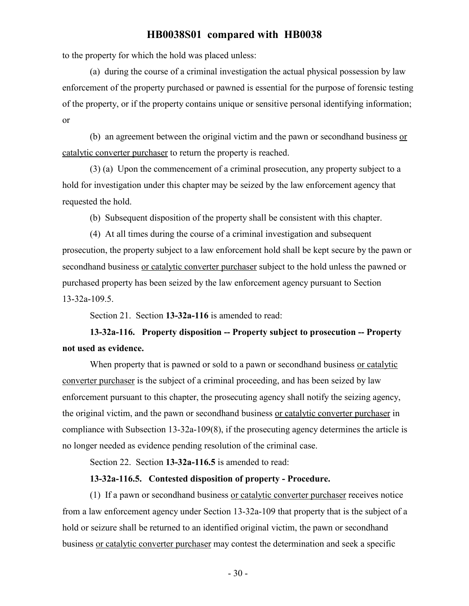to the property for which the hold was placed unless:

(a) during the course of a criminal investigation the actual physical possession by law enforcement of the property purchased or pawned is essential for the purpose of forensic testing of the property, or if the property contains unique or sensitive personal identifying information; or

(b) an agreement between the original victim and the pawn or secondhand business or catalytic converter purchaser to return the property is reached.

(3) (a) Upon the commencement of a criminal prosecution, any property subject to a hold for investigation under this chapter may be seized by the law enforcement agency that requested the hold.

(b) Subsequent disposition of the property shall be consistent with this chapter.

(4) At all times during the course of a criminal investigation and subsequent prosecution, the property subject to a law enforcement hold shall be kept secure by the pawn or secondhand business or catalytic converter purchaser subject to the hold unless the pawned or purchased property has been seized by the law enforcement agency pursuant to Section 13-32a-109.5.

Section 21. Section **13-32a-116** is amended to read:

# **13-32a-116. Property disposition -- Property subject to prosecution -- Property not used as evidence.**

When property that is pawned or sold to a pawn or secondhand business or catalytic converter purchaser is the subject of a criminal proceeding, and has been seized by law enforcement pursuant to this chapter, the prosecuting agency shall notify the seizing agency, the original victim, and the pawn or secondhand business or catalytic converter purchaser in compliance with Subsection 13-32a-109(8), if the prosecuting agency determines the article is no longer needed as evidence pending resolution of the criminal case.

Section 22. Section **13-32a-116.5** is amended to read:

#### **13-32a-116.5. Contested disposition of property - Procedure.**

(1) If a pawn or secondhand business or catalytic converter purchaser receives notice from a law enforcement agency under Section 13-32a-109 that property that is the subject of a hold or seizure shall be returned to an identified original victim, the pawn or secondhand business or catalytic converter purchaser may contest the determination and seek a specific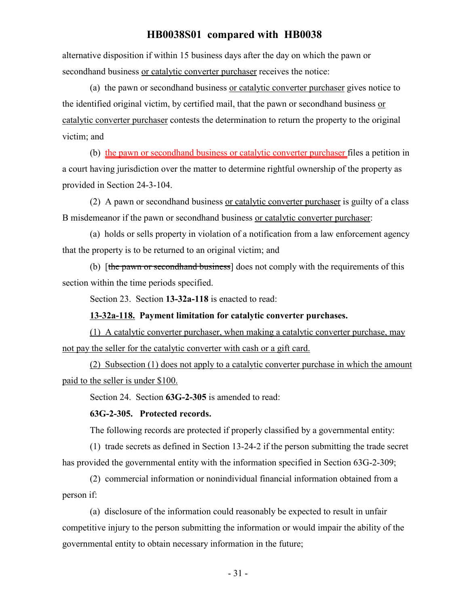alternative disposition if within 15 business days after the day on which the pawn or secondhand business or catalytic converter purchaser receives the notice:

(a) the pawn or secondhand business or catalytic converter purchaser gives notice to the identified original victim, by certified mail, that the pawn or secondhand business or catalytic converter purchaser contests the determination to return the property to the original victim; and

(b) the pawn or secondhand business or catalytic converter purchaser files a petition in a court having jurisdiction over the matter to determine rightful ownership of the property as provided in Section 24-3-104.

(2) A pawn or secondhand business or catalytic converter purchaser is guilty of a class B misdemeanor if the pawn or secondhand business or catalytic converter purchaser:

(a) holds or sells property in violation of a notification from a law enforcement agency that the property is to be returned to an original victim; and

(b) [the pawn or second hand business] does not comply with the requirements of this section within the time periods specified.

Section 23. Section **13-32a-118** is enacted to read:

## **13-32a-118. Payment limitation for catalytic converter purchases.**

(1) A catalytic converter purchaser, when making a catalytic converter purchase, may not pay the seller for the catalytic converter with cash or a gift card.

(2) Subsection (1) does not apply to a catalytic converter purchase in which the amount paid to the seller is under \$100.

Section 24. Section **63G-2-305** is amended to read:

#### **63G-2-305. Protected records.**

The following records are protected if properly classified by a governmental entity:

(1) trade secrets as defined in Section 13-24-2 if the person submitting the trade secret has provided the governmental entity with the information specified in Section 63G-2-309;

(2) commercial information or nonindividual financial information obtained from a person if:

(a) disclosure of the information could reasonably be expected to result in unfair competitive injury to the person submitting the information or would impair the ability of the governmental entity to obtain necessary information in the future;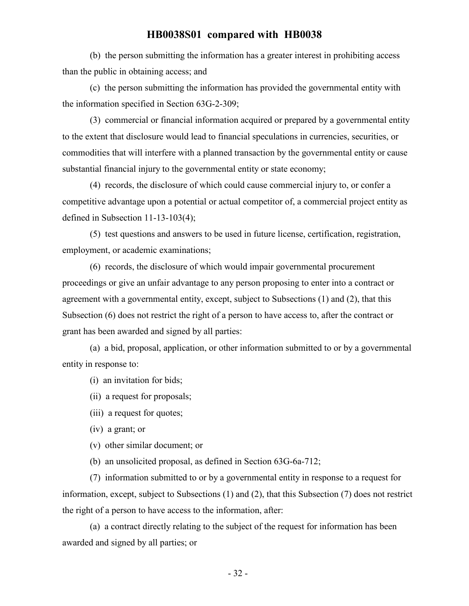(b) the person submitting the information has a greater interest in prohibiting access than the public in obtaining access; and

(c) the person submitting the information has provided the governmental entity with the information specified in Section 63G-2-309;

(3) commercial or financial information acquired or prepared by a governmental entity to the extent that disclosure would lead to financial speculations in currencies, securities, or commodities that will interfere with a planned transaction by the governmental entity or cause substantial financial injury to the governmental entity or state economy;

(4) records, the disclosure of which could cause commercial injury to, or confer a competitive advantage upon a potential or actual competitor of, a commercial project entity as defined in Subsection 11-13-103(4);

(5) test questions and answers to be used in future license, certification, registration, employment, or academic examinations;

(6) records, the disclosure of which would impair governmental procurement proceedings or give an unfair advantage to any person proposing to enter into a contract or agreement with a governmental entity, except, subject to Subsections (1) and (2), that this Subsection (6) does not restrict the right of a person to have access to, after the contract or grant has been awarded and signed by all parties:

(a) a bid, proposal, application, or other information submitted to or by a governmental entity in response to:

(i) an invitation for bids;

- (ii) a request for proposals;
- (iii) a request for quotes;

(iv) a grant; or

(v) other similar document; or

(b) an unsolicited proposal, as defined in Section 63G-6a-712;

(7) information submitted to or by a governmental entity in response to a request for information, except, subject to Subsections (1) and (2), that this Subsection (7) does not restrict the right of a person to have access to the information, after:

(a) a contract directly relating to the subject of the request for information has been awarded and signed by all parties; or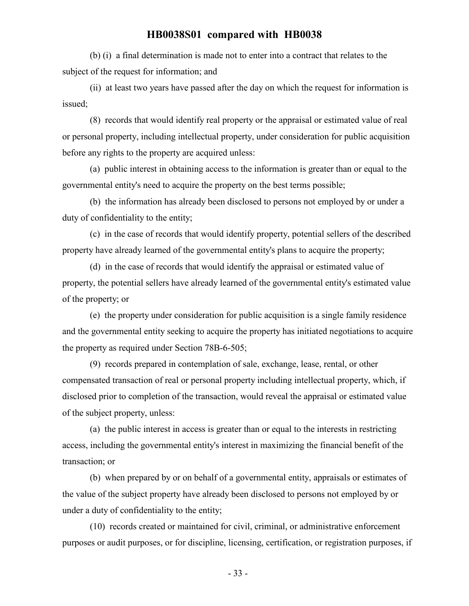(b) (i) a final determination is made not to enter into a contract that relates to the subject of the request for information; and

(ii) at least two years have passed after the day on which the request for information is issued;

(8) records that would identify real property or the appraisal or estimated value of real or personal property, including intellectual property, under consideration for public acquisition before any rights to the property are acquired unless:

(a) public interest in obtaining access to the information is greater than or equal to the governmental entity's need to acquire the property on the best terms possible;

(b) the information has already been disclosed to persons not employed by or under a duty of confidentiality to the entity;

(c) in the case of records that would identify property, potential sellers of the described property have already learned of the governmental entity's plans to acquire the property;

(d) in the case of records that would identify the appraisal or estimated value of property, the potential sellers have already learned of the governmental entity's estimated value of the property; or

(e) the property under consideration for public acquisition is a single family residence and the governmental entity seeking to acquire the property has initiated negotiations to acquire the property as required under Section 78B-6-505;

(9) records prepared in contemplation of sale, exchange, lease, rental, or other compensated transaction of real or personal property including intellectual property, which, if disclosed prior to completion of the transaction, would reveal the appraisal or estimated value of the subject property, unless:

(a) the public interest in access is greater than or equal to the interests in restricting access, including the governmental entity's interest in maximizing the financial benefit of the transaction; or

(b) when prepared by or on behalf of a governmental entity, appraisals or estimates of the value of the subject property have already been disclosed to persons not employed by or under a duty of confidentiality to the entity;

(10) records created or maintained for civil, criminal, or administrative enforcement purposes or audit purposes, or for discipline, licensing, certification, or registration purposes, if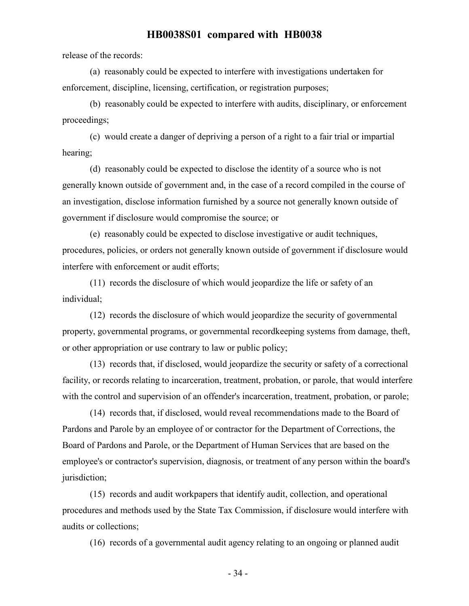release of the records:

(a) reasonably could be expected to interfere with investigations undertaken for enforcement, discipline, licensing, certification, or registration purposes;

(b) reasonably could be expected to interfere with audits, disciplinary, or enforcement proceedings;

(c) would create a danger of depriving a person of a right to a fair trial or impartial hearing;

(d) reasonably could be expected to disclose the identity of a source who is not generally known outside of government and, in the case of a record compiled in the course of an investigation, disclose information furnished by a source not generally known outside of government if disclosure would compromise the source; or

(e) reasonably could be expected to disclose investigative or audit techniques, procedures, policies, or orders not generally known outside of government if disclosure would interfere with enforcement or audit efforts;

(11) records the disclosure of which would jeopardize the life or safety of an individual;

(12) records the disclosure of which would jeopardize the security of governmental property, governmental programs, or governmental recordkeeping systems from damage, theft, or other appropriation or use contrary to law or public policy;

(13) records that, if disclosed, would jeopardize the security or safety of a correctional facility, or records relating to incarceration, treatment, probation, or parole, that would interfere with the control and supervision of an offender's incarceration, treatment, probation, or parole;

(14) records that, if disclosed, would reveal recommendations made to the Board of Pardons and Parole by an employee of or contractor for the Department of Corrections, the Board of Pardons and Parole, or the Department of Human Services that are based on the employee's or contractor's supervision, diagnosis, or treatment of any person within the board's jurisdiction;

(15) records and audit workpapers that identify audit, collection, and operational procedures and methods used by the State Tax Commission, if disclosure would interfere with audits or collections;

(16) records of a governmental audit agency relating to an ongoing or planned audit

- 34 -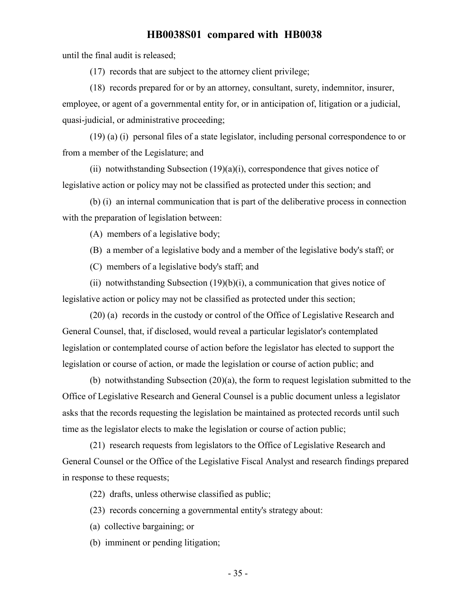until the final audit is released;

(17) records that are subject to the attorney client privilege;

(18) records prepared for or by an attorney, consultant, surety, indemnitor, insurer, employee, or agent of a governmental entity for, or in anticipation of, litigation or a judicial, quasi-judicial, or administrative proceeding;

(19) (a) (i) personal files of a state legislator, including personal correspondence to or from a member of the Legislature; and

(ii) notwithstanding Subsection  $(19)(a)(i)$ , correspondence that gives notice of legislative action or policy may not be classified as protected under this section; and

(b) (i) an internal communication that is part of the deliberative process in connection with the preparation of legislation between:

(A) members of a legislative body;

- (B) a member of a legislative body and a member of the legislative body's staff; or
- (C) members of a legislative body's staff; and

(ii) notwithstanding Subsection  $(19)(b)(i)$ , a communication that gives notice of legislative action or policy may not be classified as protected under this section;

(20) (a) records in the custody or control of the Office of Legislative Research and General Counsel, that, if disclosed, would reveal a particular legislator's contemplated legislation or contemplated course of action before the legislator has elected to support the legislation or course of action, or made the legislation or course of action public; and

(b) notwithstanding Subsection (20)(a), the form to request legislation submitted to the Office of Legislative Research and General Counsel is a public document unless a legislator asks that the records requesting the legislation be maintained as protected records until such time as the legislator elects to make the legislation or course of action public;

(21) research requests from legislators to the Office of Legislative Research and General Counsel or the Office of the Legislative Fiscal Analyst and research findings prepared in response to these requests;

(22) drafts, unless otherwise classified as public;

- (23) records concerning a governmental entity's strategy about:
- (a) collective bargaining; or
- (b) imminent or pending litigation;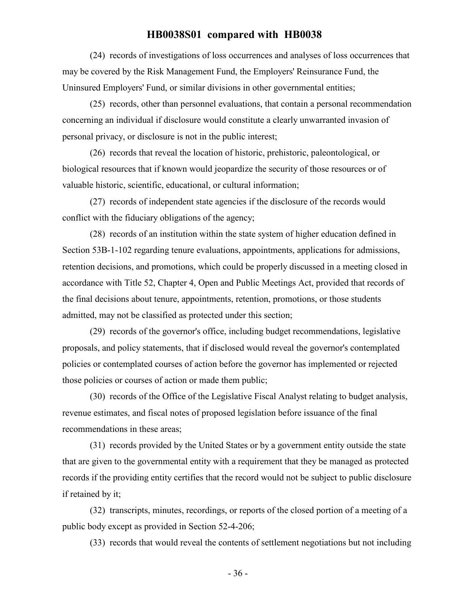(24) records of investigations of loss occurrences and analyses of loss occurrences that may be covered by the Risk Management Fund, the Employers' Reinsurance Fund, the Uninsured Employers' Fund, or similar divisions in other governmental entities;

(25) records, other than personnel evaluations, that contain a personal recommendation concerning an individual if disclosure would constitute a clearly unwarranted invasion of personal privacy, or disclosure is not in the public interest;

(26) records that reveal the location of historic, prehistoric, paleontological, or biological resources that if known would jeopardize the security of those resources or of valuable historic, scientific, educational, or cultural information;

(27) records of independent state agencies if the disclosure of the records would conflict with the fiduciary obligations of the agency;

(28) records of an institution within the state system of higher education defined in Section 53B-1-102 regarding tenure evaluations, appointments, applications for admissions, retention decisions, and promotions, which could be properly discussed in a meeting closed in accordance with Title 52, Chapter 4, Open and Public Meetings Act, provided that records of the final decisions about tenure, appointments, retention, promotions, or those students admitted, may not be classified as protected under this section;

(29) records of the governor's office, including budget recommendations, legislative proposals, and policy statements, that if disclosed would reveal the governor's contemplated policies or contemplated courses of action before the governor has implemented or rejected those policies or courses of action or made them public;

(30) records of the Office of the Legislative Fiscal Analyst relating to budget analysis, revenue estimates, and fiscal notes of proposed legislation before issuance of the final recommendations in these areas;

(31) records provided by the United States or by a government entity outside the state that are given to the governmental entity with a requirement that they be managed as protected records if the providing entity certifies that the record would not be subject to public disclosure if retained by it;

(32) transcripts, minutes, recordings, or reports of the closed portion of a meeting of a public body except as provided in Section 52-4-206;

(33) records that would reveal the contents of settlement negotiations but not including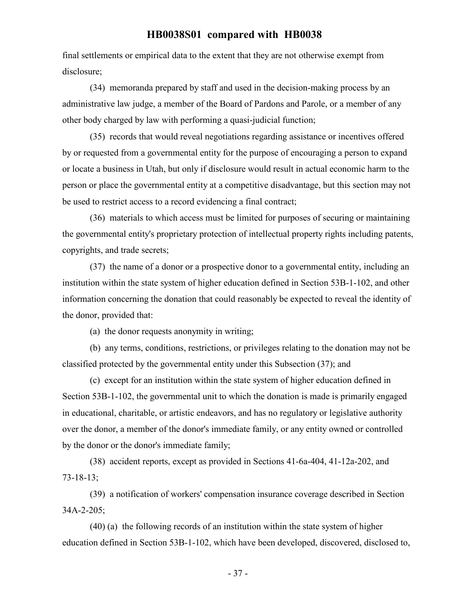final settlements or empirical data to the extent that they are not otherwise exempt from disclosure;

(34) memoranda prepared by staff and used in the decision-making process by an administrative law judge, a member of the Board of Pardons and Parole, or a member of any other body charged by law with performing a quasi-judicial function;

(35) records that would reveal negotiations regarding assistance or incentives offered by or requested from a governmental entity for the purpose of encouraging a person to expand or locate a business in Utah, but only if disclosure would result in actual economic harm to the person or place the governmental entity at a competitive disadvantage, but this section may not be used to restrict access to a record evidencing a final contract;

(36) materials to which access must be limited for purposes of securing or maintaining the governmental entity's proprietary protection of intellectual property rights including patents, copyrights, and trade secrets;

(37) the name of a donor or a prospective donor to a governmental entity, including an institution within the state system of higher education defined in Section 53B-1-102, and other information concerning the donation that could reasonably be expected to reveal the identity of the donor, provided that:

(a) the donor requests anonymity in writing;

(b) any terms, conditions, restrictions, or privileges relating to the donation may not be classified protected by the governmental entity under this Subsection (37); and

(c) except for an institution within the state system of higher education defined in Section 53B-1-102, the governmental unit to which the donation is made is primarily engaged in educational, charitable, or artistic endeavors, and has no regulatory or legislative authority over the donor, a member of the donor's immediate family, or any entity owned or controlled by the donor or the donor's immediate family;

(38) accident reports, except as provided in Sections 41-6a-404, 41-12a-202, and 73-18-13;

(39) a notification of workers' compensation insurance coverage described in Section 34A-2-205;

(40) (a) the following records of an institution within the state system of higher education defined in Section 53B-1-102, which have been developed, discovered, disclosed to,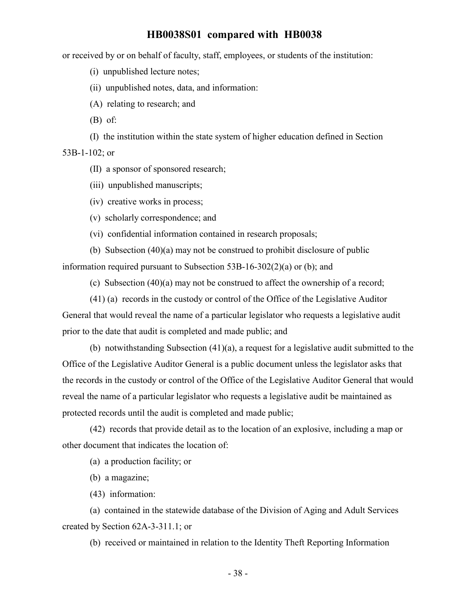or received by or on behalf of faculty, staff, employees, or students of the institution:

(i) unpublished lecture notes;

(ii) unpublished notes, data, and information:

(A) relating to research; and

(B) of:

(I) the institution within the state system of higher education defined in Section

53B-1-102; or

(II) a sponsor of sponsored research;

(iii) unpublished manuscripts;

(iv) creative works in process;

(v) scholarly correspondence; and

(vi) confidential information contained in research proposals;

(b) Subsection (40)(a) may not be construed to prohibit disclosure of public information required pursuant to Subsection 53B-16-302(2)(a) or (b); and

(c) Subsection (40)(a) may not be construed to affect the ownership of a record;

(41) (a) records in the custody or control of the Office of the Legislative Auditor

General that would reveal the name of a particular legislator who requests a legislative audit prior to the date that audit is completed and made public; and

(b) notwithstanding Subsection (41)(a), a request for a legislative audit submitted to the Office of the Legislative Auditor General is a public document unless the legislator asks that the records in the custody or control of the Office of the Legislative Auditor General that would reveal the name of a particular legislator who requests a legislative audit be maintained as protected records until the audit is completed and made public;

(42) records that provide detail as to the location of an explosive, including a map or other document that indicates the location of:

(a) a production facility; or

(b) a magazine;

(43) information:

(a) contained in the statewide database of the Division of Aging and Adult Services created by Section 62A-3-311.1; or

(b) received or maintained in relation to the Identity Theft Reporting Information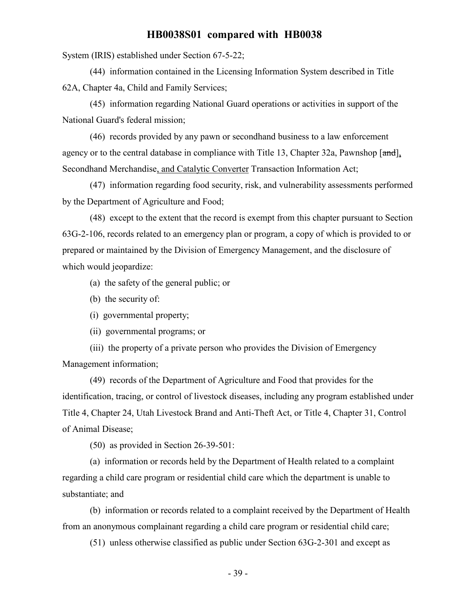System (IRIS) established under Section 67-5-22;

(44) information contained in the Licensing Information System described in Title 62A, Chapter 4a, Child and Family Services;

(45) information regarding National Guard operations or activities in support of the National Guard's federal mission;

(46) records provided by any pawn or secondhand business to a law enforcement agency or to the central database in compliance with Title 13, Chapter 32a, Pawnshop [and], Secondhand Merchandise, and Catalytic Converter Transaction Information Act;

(47) information regarding food security, risk, and vulnerability assessments performed by the Department of Agriculture and Food;

(48) except to the extent that the record is exempt from this chapter pursuant to Section 63G-2-106, records related to an emergency plan or program, a copy of which is provided to or prepared or maintained by the Division of Emergency Management, and the disclosure of which would jeopardize:

- (a) the safety of the general public; or
- (b) the security of:
- (i) governmental property;
- (ii) governmental programs; or

(iii) the property of a private person who provides the Division of Emergency Management information;

(49) records of the Department of Agriculture and Food that provides for the identification, tracing, or control of livestock diseases, including any program established under Title 4, Chapter 24, Utah Livestock Brand and Anti-Theft Act, or Title 4, Chapter 31, Control of Animal Disease;

(50) as provided in Section 26-39-501:

(a) information or records held by the Department of Health related to a complaint regarding a child care program or residential child care which the department is unable to substantiate; and

(b) information or records related to a complaint received by the Department of Health from an anonymous complainant regarding a child care program or residential child care;

(51) unless otherwise classified as public under Section 63G-2-301 and except as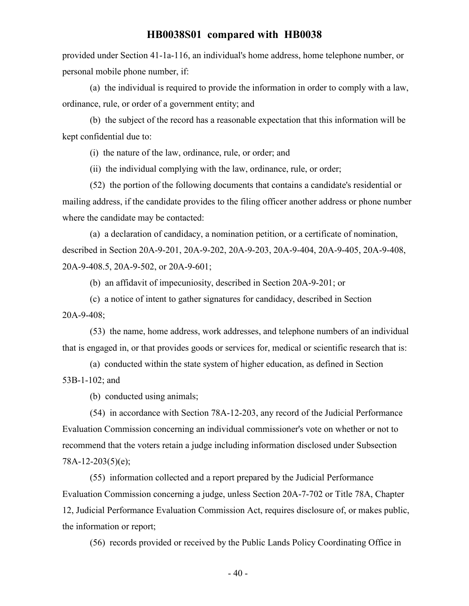provided under Section 41-1a-116, an individual's home address, home telephone number, or personal mobile phone number, if:

(a) the individual is required to provide the information in order to comply with a law, ordinance, rule, or order of a government entity; and

(b) the subject of the record has a reasonable expectation that this information will be kept confidential due to:

(i) the nature of the law, ordinance, rule, or order; and

(ii) the individual complying with the law, ordinance, rule, or order;

(52) the portion of the following documents that contains a candidate's residential or mailing address, if the candidate provides to the filing officer another address or phone number where the candidate may be contacted:

(a) a declaration of candidacy, a nomination petition, or a certificate of nomination, described in Section 20A-9-201, 20A-9-202, 20A-9-203, 20A-9-404, 20A-9-405, 20A-9-408, 20A-9-408.5, 20A-9-502, or 20A-9-601;

(b) an affidavit of impecuniosity, described in Section 20A-9-201; or

(c) a notice of intent to gather signatures for candidacy, described in Section 20A-9-408;

(53) the name, home address, work addresses, and telephone numbers of an individual that is engaged in, or that provides goods or services for, medical or scientific research that is:

(a) conducted within the state system of higher education, as defined in Section 53B-1-102; and

(b) conducted using animals;

(54) in accordance with Section 78A-12-203, any record of the Judicial Performance Evaluation Commission concerning an individual commissioner's vote on whether or not to recommend that the voters retain a judge including information disclosed under Subsection 78A-12-203(5)(e);

(55) information collected and a report prepared by the Judicial Performance Evaluation Commission concerning a judge, unless Section 20A-7-702 or Title 78A, Chapter 12, Judicial Performance Evaluation Commission Act, requires disclosure of, or makes public, the information or report;

(56) records provided or received by the Public Lands Policy Coordinating Office in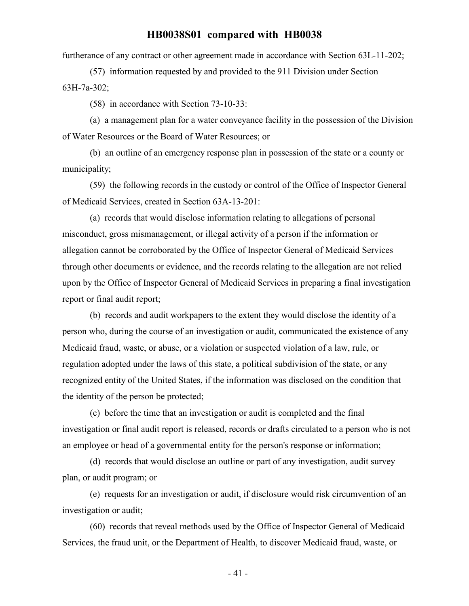furtherance of any contract or other agreement made in accordance with Section 63L-11-202;

(57) information requested by and provided to the 911 Division under Section 63H-7a-302;

(58) in accordance with Section 73-10-33:

(a) a management plan for a water conveyance facility in the possession of the Division of Water Resources or the Board of Water Resources; or

(b) an outline of an emergency response plan in possession of the state or a county or municipality;

(59) the following records in the custody or control of the Office of Inspector General of Medicaid Services, created in Section 63A-13-201:

(a) records that would disclose information relating to allegations of personal misconduct, gross mismanagement, or illegal activity of a person if the information or allegation cannot be corroborated by the Office of Inspector General of Medicaid Services through other documents or evidence, and the records relating to the allegation are not relied upon by the Office of Inspector General of Medicaid Services in preparing a final investigation report or final audit report;

(b) records and audit workpapers to the extent they would disclose the identity of a person who, during the course of an investigation or audit, communicated the existence of any Medicaid fraud, waste, or abuse, or a violation or suspected violation of a law, rule, or regulation adopted under the laws of this state, a political subdivision of the state, or any recognized entity of the United States, if the information was disclosed on the condition that the identity of the person be protected;

(c) before the time that an investigation or audit is completed and the final investigation or final audit report is released, records or drafts circulated to a person who is not an employee or head of a governmental entity for the person's response or information;

(d) records that would disclose an outline or part of any investigation, audit survey plan, or audit program; or

(e) requests for an investigation or audit, if disclosure would risk circumvention of an investigation or audit;

(60) records that reveal methods used by the Office of Inspector General of Medicaid Services, the fraud unit, or the Department of Health, to discover Medicaid fraud, waste, or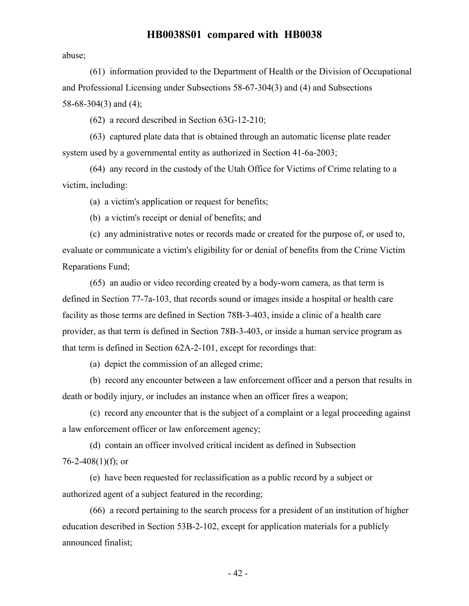abuse;

(61) information provided to the Department of Health or the Division of Occupational and Professional Licensing under Subsections 58-67-304(3) and (4) and Subsections 58-68-304(3) and (4);

(62) a record described in Section 63G-12-210;

(63) captured plate data that is obtained through an automatic license plate reader system used by a governmental entity as authorized in Section 41-6a-2003;

(64) any record in the custody of the Utah Office for Victims of Crime relating to a victim, including:

(a) a victim's application or request for benefits;

(b) a victim's receipt or denial of benefits; and

(c) any administrative notes or records made or created for the purpose of, or used to, evaluate or communicate a victim's eligibility for or denial of benefits from the Crime Victim Reparations Fund;

(65) an audio or video recording created by a body-worn camera, as that term is defined in Section 77-7a-103, that records sound or images inside a hospital or health care facility as those terms are defined in Section 78B-3-403, inside a clinic of a health care provider, as that term is defined in Section 78B-3-403, or inside a human service program as that term is defined in Section 62A-2-101, except for recordings that:

(a) depict the commission of an alleged crime;

(b) record any encounter between a law enforcement officer and a person that results in death or bodily injury, or includes an instance when an officer fires a weapon;

(c) record any encounter that is the subject of a complaint or a legal proceeding against a law enforcement officer or law enforcement agency;

(d) contain an officer involved critical incident as defined in Subsection 76-2-408 $(1)$ (f); or

(e) have been requested for reclassification as a public record by a subject or authorized agent of a subject featured in the recording;

(66) a record pertaining to the search process for a president of an institution of higher education described in Section 53B-2-102, except for application materials for a publicly announced finalist;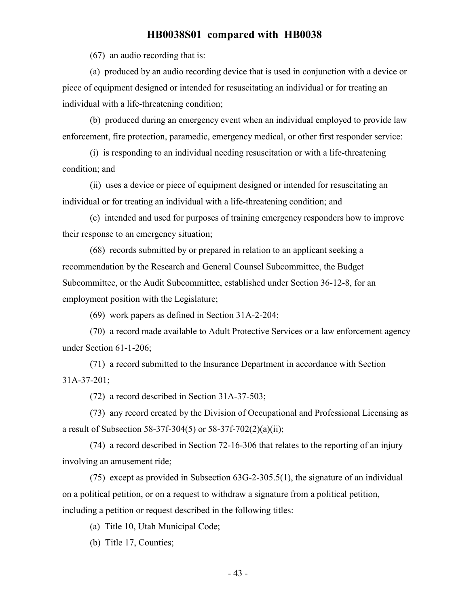(67) an audio recording that is:

(a) produced by an audio recording device that is used in conjunction with a device or piece of equipment designed or intended for resuscitating an individual or for treating an individual with a life-threatening condition;

(b) produced during an emergency event when an individual employed to provide law enforcement, fire protection, paramedic, emergency medical, or other first responder service:

(i) is responding to an individual needing resuscitation or with a life-threatening condition; and

(ii) uses a device or piece of equipment designed or intended for resuscitating an individual or for treating an individual with a life-threatening condition; and

(c) intended and used for purposes of training emergency responders how to improve their response to an emergency situation;

(68) records submitted by or prepared in relation to an applicant seeking a recommendation by the Research and General Counsel Subcommittee, the Budget Subcommittee, or the Audit Subcommittee, established under Section 36-12-8, for an employment position with the Legislature;

(69) work papers as defined in Section 31A-2-204;

(70) a record made available to Adult Protective Services or a law enforcement agency under Section 61-1-206;

(71) a record submitted to the Insurance Department in accordance with Section 31A-37-201;

(72) a record described in Section 31A-37-503;

(73) any record created by the Division of Occupational and Professional Licensing as a result of Subsection 58-37f-304(5) or 58-37f-702(2)(a)(ii);

(74) a record described in Section 72-16-306 that relates to the reporting of an injury involving an amusement ride;

(75) except as provided in Subsection 63G-2-305.5(1), the signature of an individual on a political petition, or on a request to withdraw a signature from a political petition, including a petition or request described in the following titles:

(a) Title 10, Utah Municipal Code;

(b) Title 17, Counties;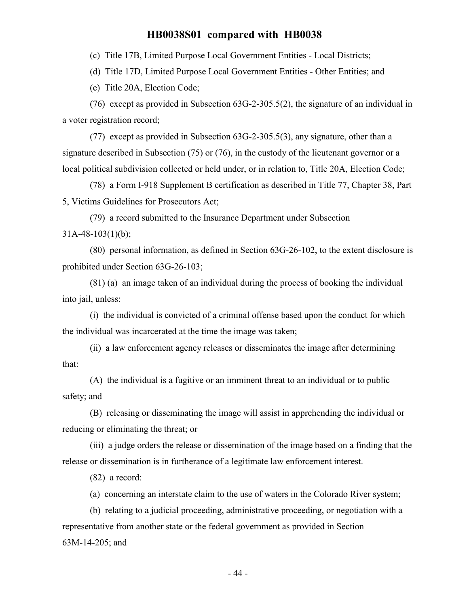(c) Title 17B, Limited Purpose Local Government Entities - Local Districts;

(d) Title 17D, Limited Purpose Local Government Entities - Other Entities; and

(e) Title 20A, Election Code;

(76) except as provided in Subsection 63G-2-305.5(2), the signature of an individual in a voter registration record;

(77) except as provided in Subsection 63G-2-305.5(3), any signature, other than a signature described in Subsection (75) or (76), in the custody of the lieutenant governor or a local political subdivision collected or held under, or in relation to, Title 20A, Election Code;

(78) a Form I-918 Supplement B certification as described in Title 77, Chapter 38, Part 5, Victims Guidelines for Prosecutors Act;

(79) a record submitted to the Insurance Department under Subsection  $31A-48-103(1)(b)$ ;

(80) personal information, as defined in Section 63G-26-102, to the extent disclosure is prohibited under Section 63G-26-103;

(81) (a) an image taken of an individual during the process of booking the individual into jail, unless:

(i) the individual is convicted of a criminal offense based upon the conduct for which the individual was incarcerated at the time the image was taken;

(ii) a law enforcement agency releases or disseminates the image after determining that:

(A) the individual is a fugitive or an imminent threat to an individual or to public safety; and

(B) releasing or disseminating the image will assist in apprehending the individual or reducing or eliminating the threat; or

(iii) a judge orders the release or dissemination of the image based on a finding that the release or dissemination is in furtherance of a legitimate law enforcement interest.

(82) a record:

(a) concerning an interstate claim to the use of waters in the Colorado River system;

(b) relating to a judicial proceeding, administrative proceeding, or negotiation with a representative from another state or the federal government as provided in Section 63M-14-205; and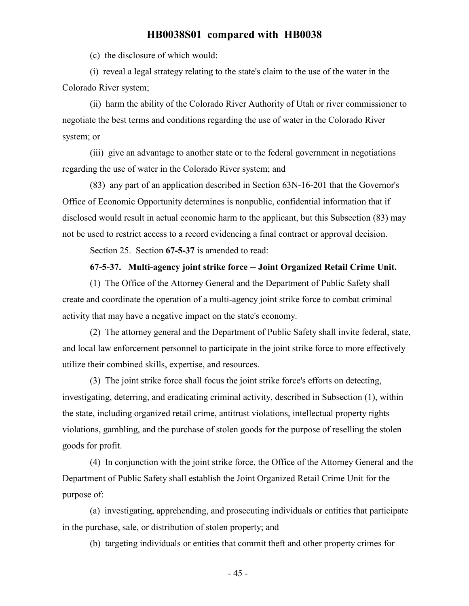(c) the disclosure of which would:

(i) reveal a legal strategy relating to the state's claim to the use of the water in the Colorado River system;

(ii) harm the ability of the Colorado River Authority of Utah or river commissioner to negotiate the best terms and conditions regarding the use of water in the Colorado River system; or

(iii) give an advantage to another state or to the federal government in negotiations regarding the use of water in the Colorado River system; and

(83) any part of an application described in Section 63N-16-201 that the Governor's Office of Economic Opportunity determines is nonpublic, confidential information that if disclosed would result in actual economic harm to the applicant, but this Subsection (83) may not be used to restrict access to a record evidencing a final contract or approval decision.

Section 25. Section **67-5-37** is amended to read:

#### **67-5-37. Multi-agency joint strike force -- Joint Organized Retail Crime Unit.**

(1) The Office of the Attorney General and the Department of Public Safety shall create and coordinate the operation of a multi-agency joint strike force to combat criminal activity that may have a negative impact on the state's economy.

(2) The attorney general and the Department of Public Safety shall invite federal, state, and local law enforcement personnel to participate in the joint strike force to more effectively utilize their combined skills, expertise, and resources.

(3) The joint strike force shall focus the joint strike force's efforts on detecting, investigating, deterring, and eradicating criminal activity, described in Subsection (1), within the state, including organized retail crime, antitrust violations, intellectual property rights violations, gambling, and the purchase of stolen goods for the purpose of reselling the stolen goods for profit.

(4) In conjunction with the joint strike force, the Office of the Attorney General and the Department of Public Safety shall establish the Joint Organized Retail Crime Unit for the purpose of:

(a) investigating, apprehending, and prosecuting individuals or entities that participate in the purchase, sale, or distribution of stolen property; and

(b) targeting individuals or entities that commit theft and other property crimes for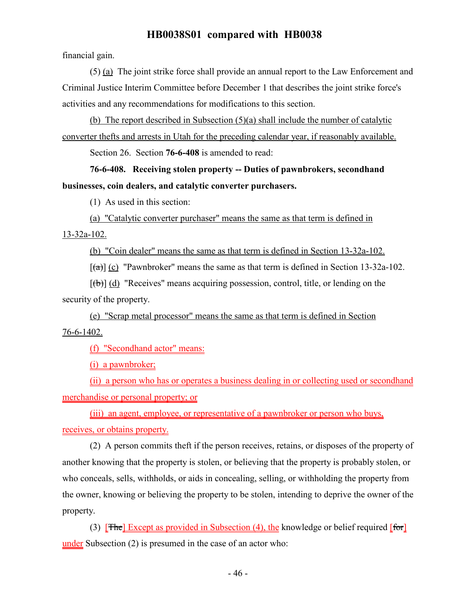financial gain.

(5) (a) The joint strike force shall provide an annual report to the Law Enforcement and Criminal Justice Interim Committee before December 1 that describes the joint strike force's activities and any recommendations for modifications to this section.

(b) The report described in Subsection (5)(a) shall include the number of catalytic converter thefts and arrests in Utah for the preceding calendar year, if reasonably available.

Section 26. Section **76-6-408** is amended to read:

**76-6-408. Receiving stolen property -- Duties of pawnbrokers, secondhand businesses, coin dealers, and catalytic converter purchasers.**

(1) As used in this section:

(a) "Catalytic converter purchaser" means the same as that term is defined in 13-32a-102.

(b) "Coin dealer" means the same as that term is defined in Section 13-32a-102.

 $\lceil$ (a)] (c) "Pawnbroker" means the same as that term is defined in Section 13-32a-102.

 $[(\theta)]$  (d) "Receives" means acquiring possession, control, title, or lending on the security of the property.

(e) "Scrap metal processor" means the same as that term is defined in Section 76-6-1402.

(f) "Secondhand actor" means:

(i) a pawnbroker;

(ii) a person who has or operates a business dealing in or collecting used or secondhand merchandise or personal property; or

(iii) an agent, employee, or representative of a pawnbroker or person who buys,

receives, or obtains property.

(2) A person commits theft if the person receives, retains, or disposes of the property of another knowing that the property is stolen, or believing that the property is probably stolen, or who conceals, sells, withholds, or aids in concealing, selling, or withholding the property from the owner, knowing or believing the property to be stolen, intending to deprive the owner of the property.

(3)  $[$ The] Except as provided in Subsection (4), the knowledge or belief required  $[$ for $]$ under Subsection (2) is presumed in the case of an actor who: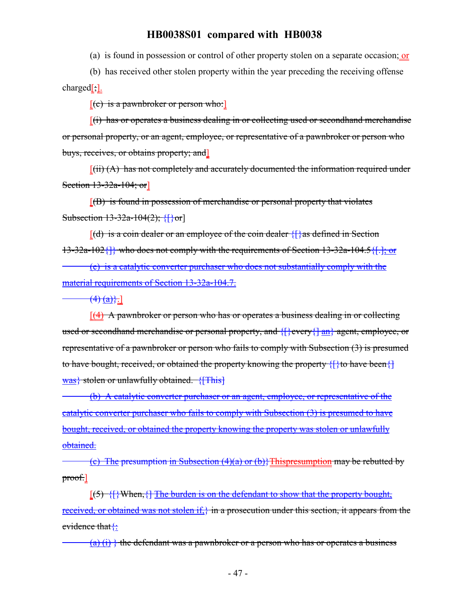(a) is found in possession or control of other property stolen on a separate occasion; or

(b) has received other stolen property within the year preceding the receiving offense charged[;].

 $[(e)$  is a pawnbroker or person who:

 $[(i)$  has or operates a business dealing in or collecting used or secondhand merchandise or personal property, or an agent, employee, or representative of a pawnbroker or person who buys, receives, or obtains property; and]

 $[(ii) (A)$  has not completely and accurately documented the information required under Section 13-32a-104; or

 $[(B)$  is found in possession of merchandise or personal property that violates Subsection  $13-32a-104(2)$ ; {[}or]

 $[(d)$  is a coin dealer or an employee of the coin dealer  $\{\}$  as defined in Section 13-32a-102{]} who does not comply with the requirements of Section 13-32a-104.5{[.]; or

(e) is a catalytic converter purchaser who does not substantially comply with the material requirements of Section 13-32a-104.7.

 $(4)$   $(a)$ }.]

 $[(4)$  A pawnbroker or person who has or operates a business dealing in or collecting used or secondhand merchandise or personal property, and {[}every{] an} agent, employee, or representative of a pawnbroker or person who fails to comply with Subsection (3) is presumed to have bought, received, or obtained the property knowing the property  $\{\}$  to have been $\{\}$ was} stolen or unlawfully obtained. {[This]

(b) A catalytic converter purchaser or an agent, employee, or representative of the catalytic converter purchaser who fails to comply with Subsection (3) is presumed to have bought, received, or obtained the property knowing the property was stolen or unlawfully obtained.

(c) The presumption in Subsection  $(4)(a)$  or  $(b)$ } Thispresumption may be rebutted by proof.]

 $[$ (5) {[}When, {] The burden is on the defendant to show that the property bought, received, or obtained was not stolen if, in a prosecution under this section, it appears from the evidence that {:

 $(a)$  (i) } the defendant was a pawnbroker or a person who has or operates a business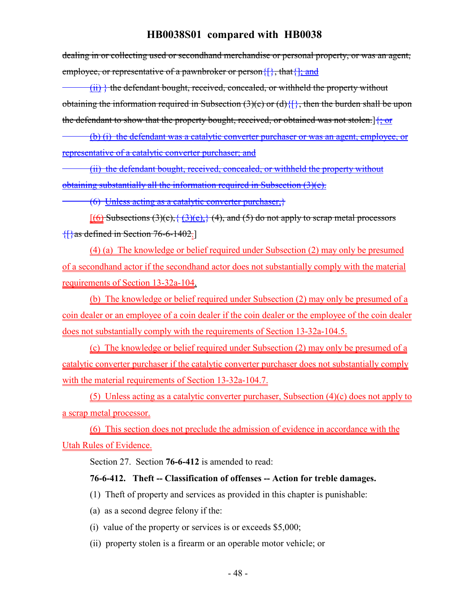dealing in or collecting used or secondhand merchandise or personal property, or was an agent, employee, or representative of a pawnbroker or person $\{\}$ , that  $\}$ , and

(ii) } the defendant bought, received, concealed, or withheld the property without obtaining the information required in Subsection  $(3)(c)$  or  $(d)$  { $\}$ }, then the burden shall be upon the defendant to show that the property bought, received, or obtained was not stolen.]{; or

(b) (i) the defendant was a catalytic converter purchaser or was an agent, employee, or representative of a catalytic converter purchaser; and

(ii) the defendant bought, received, concealed, or withheld the property without obtaining substantially all the information required in Subsection (3)(e).

(6) Unless acting as a catalytic converter purchaser,}

 $[(6)$  Subsections  $(3)(c)$ ,  $\{(3)(e),\}$   $(4)$ , and  $(5)$  do not apply to scrap metal processors {[}as defined in Section 76-6-1402.]

(4) (a) The knowledge or belief required under Subsection (2) may only be presumed of a secondhand actor if the secondhand actor does not substantially comply with the material requirements of Section 13-32a-104.

(b) The knowledge or belief required under Subsection (2) may only be presumed of a coin dealer or an employee of a coin dealer if the coin dealer or the employee of the coin dealer does not substantially comply with the requirements of Section 13-32a-104.5.

(c) The knowledge or belief required under Subsection (2) may only be presumed of a catalytic converter purchaser if the catalytic converter purchaser does not substantially comply with the material requirements of Section 13-32a-104.7.

(5) Unless acting as a catalytic converter purchaser, Subsection (4)(c) does not apply to a scrap metal processor.

(6) This section does not preclude the admission of evidence in accordance with the Utah Rules of Evidence.

Section 27. Section **76-6-412** is amended to read:

### **76-6-412. Theft -- Classification of offenses -- Action for treble damages.**

- (1) Theft of property and services as provided in this chapter is punishable:
- (a) as a second degree felony if the:
- (i) value of the property or services is or exceeds \$5,000;
- (ii) property stolen is a firearm or an operable motor vehicle; or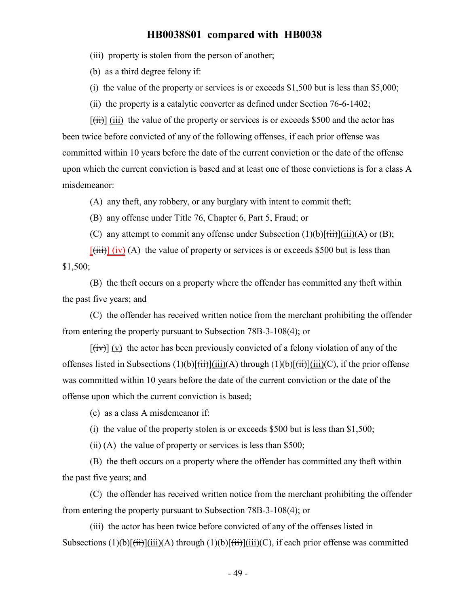(iii) property is stolen from the person of another;

(b) as a third degree felony if:

(i) the value of the property or services is or exceeds  $$1,500$  but is less than  $$5,000$ ;

(ii) the property is a catalytic converter as defined under Section 76-6-1402;

 $[\overrightarrow{tii}]$  (iii) the value of the property or services is or exceeds \$500 and the actor has been twice before convicted of any of the following offenses, if each prior offense was committed within 10 years before the date of the current conviction or the date of the offense upon which the current conviction is based and at least one of those convictions is for a class A misdemeanor:

(A) any theft, any robbery, or any burglary with intent to commit theft;

(B) any offense under Title 76, Chapter 6, Part 5, Fraud; or

(C) any attempt to commit any offense under Subsection  $(1)(b)[\overrightarrow{(ii)}](ii)(A)$  or  $(B)$ ;

 $[\overline{\text{(iii)}}]$  (iv) (A) the value of property or services is or exceeds \$500 but is less than \$1,500;

(B) the theft occurs on a property where the offender has committed any theft within the past five years; and

(C) the offender has received written notice from the merchant prohibiting the offender from entering the property pursuant to Subsection 78B-3-108(4); or

 $[\overline{f(x)}]$  (v) the actor has been previously convicted of a felony violation of any of the offenses listed in Subsections  $(1)(b)[\overrightarrow{iii}](1i)(A)$  through  $(1)(b)[\overrightarrow{iii}](1i)(C)$ , if the prior offense was committed within 10 years before the date of the current conviction or the date of the offense upon which the current conviction is based;

(c) as a class A misdemeanor if:

(i) the value of the property stolen is or exceeds \$500 but is less than \$1,500;

(ii) (A) the value of property or services is less than \$500;

(B) the theft occurs on a property where the offender has committed any theft within the past five years; and

(C) the offender has received written notice from the merchant prohibiting the offender from entering the property pursuant to Subsection 78B-3-108(4); or

(iii) the actor has been twice before convicted of any of the offenses listed in Subsections  $(1)(b)[\overrightarrow{iii}](A)$  through  $(1)(b)[\overrightarrow{iii}](C)$ , if each prior offense was committed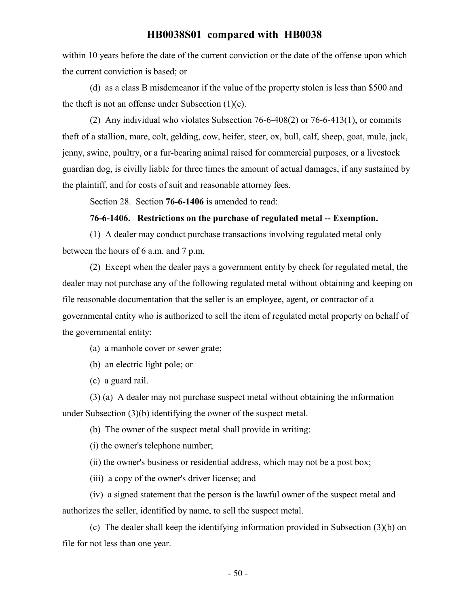within 10 years before the date of the current conviction or the date of the offense upon which the current conviction is based; or

(d) as a class B misdemeanor if the value of the property stolen is less than \$500 and the theft is not an offense under Subsection  $(1)(c)$ .

(2) Any individual who violates Subsection 76-6-408(2) or 76-6-413(1), or commits theft of a stallion, mare, colt, gelding, cow, heifer, steer, ox, bull, calf, sheep, goat, mule, jack, jenny, swine, poultry, or a fur-bearing animal raised for commercial purposes, or a livestock guardian dog, is civilly liable for three times the amount of actual damages, if any sustained by the plaintiff, and for costs of suit and reasonable attorney fees.

Section 28. Section **76-6-1406** is amended to read:

#### **76-6-1406. Restrictions on the purchase of regulated metal -- Exemption.**

(1) A dealer may conduct purchase transactions involving regulated metal only between the hours of 6 a.m. and 7 p.m.

(2) Except when the dealer pays a government entity by check for regulated metal, the dealer may not purchase any of the following regulated metal without obtaining and keeping on file reasonable documentation that the seller is an employee, agent, or contractor of a governmental entity who is authorized to sell the item of regulated metal property on behalf of the governmental entity:

(a) a manhole cover or sewer grate;

(b) an electric light pole; or

(c) a guard rail.

(3) (a) A dealer may not purchase suspect metal without obtaining the information under Subsection (3)(b) identifying the owner of the suspect metal.

(b) The owner of the suspect metal shall provide in writing:

(i) the owner's telephone number;

(ii) the owner's business or residential address, which may not be a post box;

(iii) a copy of the owner's driver license; and

(iv) a signed statement that the person is the lawful owner of the suspect metal and authorizes the seller, identified by name, to sell the suspect metal.

(c) The dealer shall keep the identifying information provided in Subsection (3)(b) on file for not less than one year.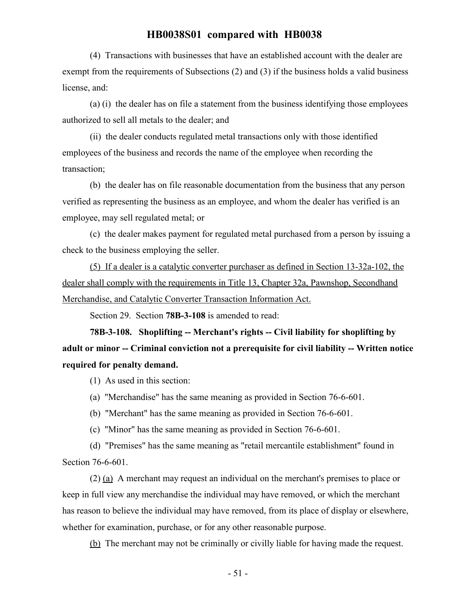(4) Transactions with businesses that have an established account with the dealer are exempt from the requirements of Subsections (2) and (3) if the business holds a valid business license, and:

(a) (i) the dealer has on file a statement from the business identifying those employees authorized to sell all metals to the dealer; and

(ii) the dealer conducts regulated metal transactions only with those identified employees of the business and records the name of the employee when recording the transaction;

(b) the dealer has on file reasonable documentation from the business that any person verified as representing the business as an employee, and whom the dealer has verified is an employee, may sell regulated metal; or

(c) the dealer makes payment for regulated metal purchased from a person by issuing a check to the business employing the seller.

(5) If a dealer is a catalytic converter purchaser as defined in Section 13-32a-102, the dealer shall comply with the requirements in Title 13, Chapter 32a, Pawnshop, Secondhand Merchandise, and Catalytic Converter Transaction Information Act.

Section 29. Section **78B-3-108** is amended to read:

**78B-3-108. Shoplifting -- Merchant's rights -- Civil liability for shoplifting by adult or minor -- Criminal conviction not a prerequisite for civil liability -- Written notice required for penalty demand.**

(1) As used in this section:

(a) "Merchandise" has the same meaning as provided in Section 76-6-601.

(b) "Merchant" has the same meaning as provided in Section 76-6-601.

(c) "Minor" has the same meaning as provided in Section 76-6-601.

(d) "Premises" has the same meaning as "retail mercantile establishment" found in Section 76-6-601.

(2) (a) A merchant may request an individual on the merchant's premises to place or keep in full view any merchandise the individual may have removed, or which the merchant has reason to believe the individual may have removed, from its place of display or elsewhere, whether for examination, purchase, or for any other reasonable purpose.

(b) The merchant may not be criminally or civilly liable for having made the request.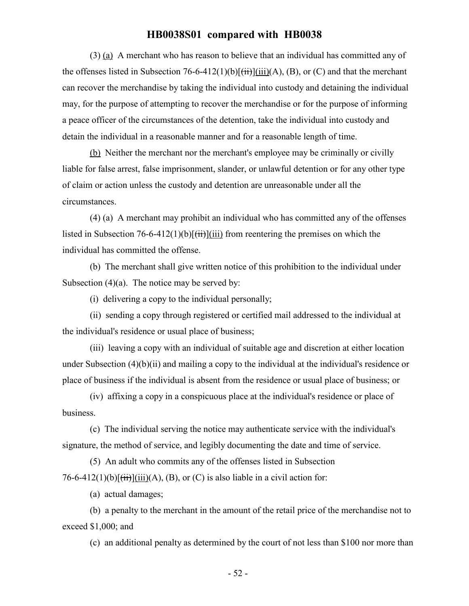(3) (a) A merchant who has reason to believe that an individual has committed any of the offenses listed in Subsection 76-6-412(1)(b) $\overrightarrow{f(i)}$  $\overrightarrow{f(i)}$  $\overrightarrow{f(i)}$  $\overrightarrow{A}$ , (B), or (C) and that the merchant can recover the merchandise by taking the individual into custody and detaining the individual may, for the purpose of attempting to recover the merchandise or for the purpose of informing a peace officer of the circumstances of the detention, take the individual into custody and detain the individual in a reasonable manner and for a reasonable length of time.

(b) Neither the merchant nor the merchant's employee may be criminally or civilly liable for false arrest, false imprisonment, slander, or unlawful detention or for any other type of claim or action unless the custody and detention are unreasonable under all the circumstances.

(4) (a) A merchant may prohibit an individual who has committed any of the offenses listed in Subsection 76-6-412(1)(b) $[\overrightarrow{t}$ iii) from reentering the premises on which the individual has committed the offense.

(b) The merchant shall give written notice of this prohibition to the individual under Subsection  $(4)(a)$ . The notice may be served by:

(i) delivering a copy to the individual personally;

(ii) sending a copy through registered or certified mail addressed to the individual at the individual's residence or usual place of business;

(iii) leaving a copy with an individual of suitable age and discretion at either location under Subsection (4)(b)(ii) and mailing a copy to the individual at the individual's residence or place of business if the individual is absent from the residence or usual place of business; or

(iv) affixing a copy in a conspicuous place at the individual's residence or place of business.

(c) The individual serving the notice may authenticate service with the individual's signature, the method of service, and legibly documenting the date and time of service.

(5) An adult who commits any of the offenses listed in Subsection 76-6-412(1)(b) $[\overrightarrow{tii}](\overrightarrow{ii})(A)$ , (B), or (C) is also liable in a civil action for:

(a) actual damages;

(b) a penalty to the merchant in the amount of the retail price of the merchandise not to exceed \$1,000; and

(c) an additional penalty as determined by the court of not less than \$100 nor more than